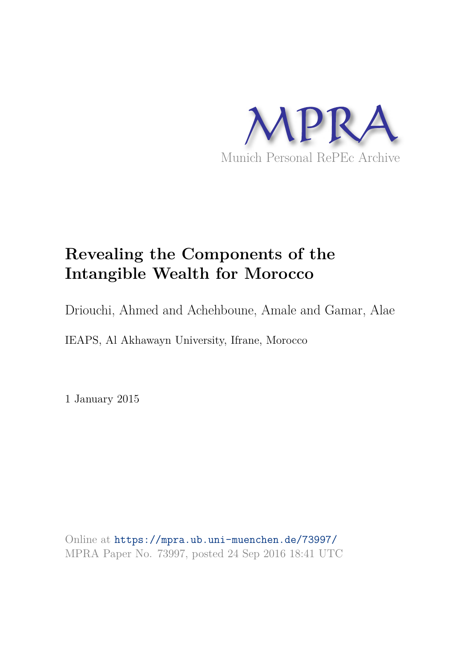

# **Revealing the Components of the Intangible Wealth for Morocco**

Driouchi, Ahmed and Achehboune, Amale and Gamar, Alae

IEAPS, Al Akhawayn University, Ifrane, Morocco

1 January 2015

Online at https://mpra.ub.uni-muenchen.de/73997/ MPRA Paper No. 73997, posted 24 Sep 2016 18:41 UTC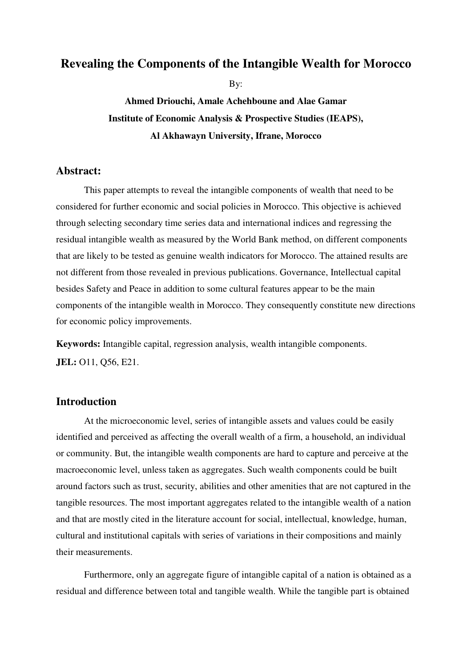# **Revealing the Components of the Intangible Wealth for Morocco**

By:

**Ahmed Driouchi, Amale Achehboune and Alae Gamar Institute of Economic Analysis & Prospective Studies (IEAPS), Al Akhawayn University, Ifrane, Morocco** 

# **Abstract:**

This paper attempts to reveal the intangible components of wealth that need to be considered for further economic and social policies in Morocco. This objective is achieved through selecting secondary time series data and international indices and regressing the residual intangible wealth as measured by the World Bank method, on different components that are likely to be tested as genuine wealth indicators for Morocco. The attained results are not different from those revealed in previous publications. Governance, Intellectual capital besides Safety and Peace in addition to some cultural features appear to be the main components of the intangible wealth in Morocco. They consequently constitute new directions for economic policy improvements.

**Keywords:** Intangible capital, regression analysis, wealth intangible components. **JEL:** O11, Q56, E21.

# **Introduction**

At the microeconomic level, series of intangible assets and values could be easily identified and perceived as affecting the overall wealth of a firm, a household, an individual or community. But, the intangible wealth components are hard to capture and perceive at the macroeconomic level, unless taken as aggregates. Such wealth components could be built around factors such as trust, security, abilities and other amenities that are not captured in the tangible resources. The most important aggregates related to the intangible wealth of a nation and that are mostly cited in the literature account for social, intellectual, knowledge, human, cultural and institutional capitals with series of variations in their compositions and mainly their measurements.

Furthermore, only an aggregate figure of intangible capital of a nation is obtained as a residual and difference between total and tangible wealth. While the tangible part is obtained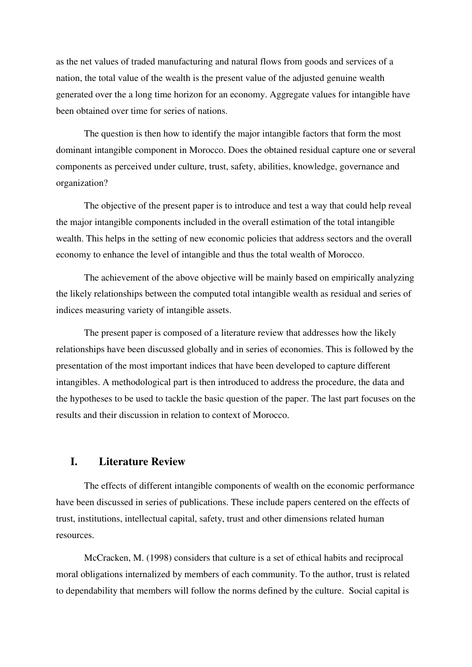as the net values of traded manufacturing and natural flows from goods and services of a nation, the total value of the wealth is the present value of the adjusted genuine wealth generated over the a long time horizon for an economy. Aggregate values for intangible have been obtained over time for series of nations.

The question is then how to identify the major intangible factors that form the most dominant intangible component in Morocco. Does the obtained residual capture one or several components as perceived under culture, trust, safety, abilities, knowledge, governance and organization?

The objective of the present paper is to introduce and test a way that could help reveal the major intangible components included in the overall estimation of the total intangible wealth. This helps in the setting of new economic policies that address sectors and the overall economy to enhance the level of intangible and thus the total wealth of Morocco.

The achievement of the above objective will be mainly based on empirically analyzing the likely relationships between the computed total intangible wealth as residual and series of indices measuring variety of intangible assets.

The present paper is composed of a literature review that addresses how the likely relationships have been discussed globally and in series of economies. This is followed by the presentation of the most important indices that have been developed to capture different intangibles. A methodological part is then introduced to address the procedure, the data and the hypotheses to be used to tackle the basic question of the paper. The last part focuses on the results and their discussion in relation to context of Morocco.

# **I. Literature Review**

The effects of different intangible components of wealth on the economic performance have been discussed in series of publications. These include papers centered on the effects of trust, institutions, intellectual capital, safety, trust and other dimensions related human resources.

McCracken, M. (1998) considers that culture is a set of ethical habits and reciprocal moral obligations internalized by members of each community. To the author, trust is related to dependability that members will follow the norms defined by the culture. Social capital is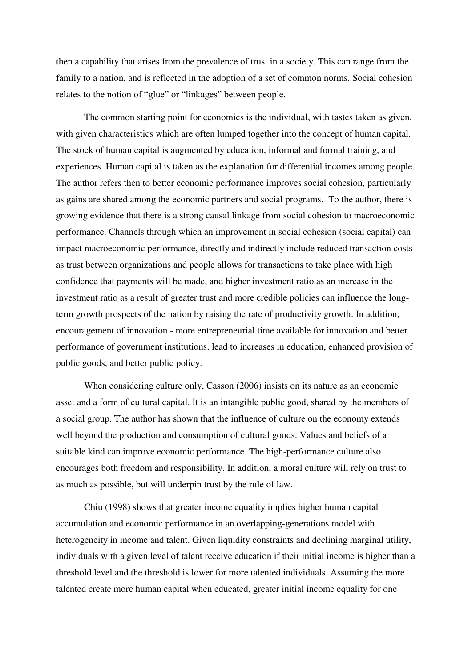then a capability that arises from the prevalence of trust in a society. This can range from the family to a nation, and is reflected in the adoption of a set of common norms. Social cohesion relates to the notion of "glue" or "linkages" between people.

The common starting point for economics is the individual, with tastes taken as given, with given characteristics which are often lumped together into the concept of human capital. The stock of human capital is augmented by education, informal and formal training, and experiences. Human capital is taken as the explanation for differential incomes among people. The author refers then to better economic performance improves social cohesion, particularly as gains are shared among the economic partners and social programs. To the author, there is growing evidence that there is a strong causal linkage from social cohesion to macroeconomic performance. Channels through which an improvement in social cohesion (social capital) can impact macroeconomic performance, directly and indirectly include reduced transaction costs as trust between organizations and people allows for transactions to take place with high confidence that payments will be made, and higher investment ratio as an increase in the investment ratio as a result of greater trust and more credible policies can influence the longterm growth prospects of the nation by raising the rate of productivity growth. In addition, encouragement of innovation - more entrepreneurial time available for innovation and better performance of government institutions, lead to increases in education, enhanced provision of public goods, and better public policy.

When considering culture only, Casson (2006) insists on its nature as an economic asset and a form of cultural capital. It is an intangible public good, shared by the members of a social group. The author has shown that the influence of culture on the economy extends well beyond the production and consumption of cultural goods. Values and beliefs of a suitable kind can improve economic performance. The high-performance culture also encourages both freedom and responsibility. In addition, a moral culture will rely on trust to as much as possible, but will underpin trust by the rule of law.

Chiu (1998) shows that greater income equality implies higher human capital accumulation and economic performance in an overlapping-generations model with heterogeneity in income and talent. Given liquidity constraints and declining marginal utility, individuals with a given level of talent receive education if their initial income is higher than a threshold level and the threshold is lower for more talented individuals. Assuming the more talented create more human capital when educated, greater initial income equality for one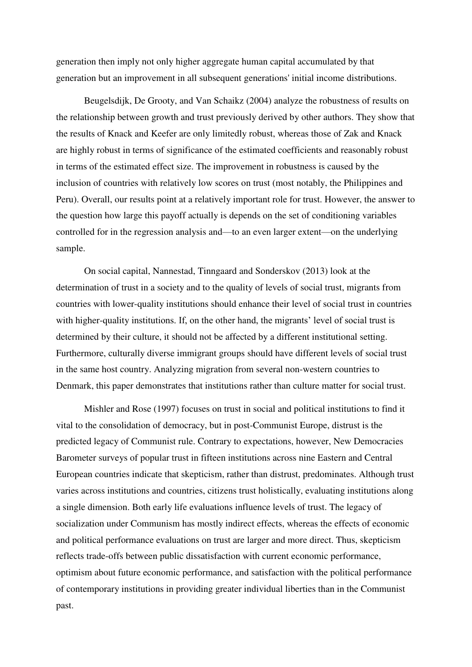generation then imply not only higher aggregate human capital accumulated by that generation but an improvement in all subsequent generations' initial income distributions.

Beugelsdijk, De Grooty, and Van Schaikz (2004) analyze the robustness of results on the relationship between growth and trust previously derived by other authors. They show that the results of Knack and Keefer are only limitedly robust, whereas those of Zak and Knack are highly robust in terms of significance of the estimated coefficients and reasonably robust in terms of the estimated effect size. The improvement in robustness is caused by the inclusion of countries with relatively low scores on trust (most notably, the Philippines and Peru). Overall, our results point at a relatively important role for trust. However, the answer to the question how large this payoff actually is depends on the set of conditioning variables controlled for in the regression analysis and—to an even larger extent—on the underlying sample.

On social capital, Nannestad, Tinngaard and Sonderskov (2013) look at the determination of trust in a society and to the quality of levels of social trust, migrants from countries with lower-quality institutions should enhance their level of social trust in countries with higher-quality institutions. If, on the other hand, the migrants' level of social trust is determined by their culture, it should not be affected by a different institutional setting. Furthermore, culturally diverse immigrant groups should have different levels of social trust in the same host country. Analyzing migration from several non-western countries to Denmark, this paper demonstrates that institutions rather than culture matter for social trust.

Mishler and Rose (1997) focuses on trust in social and political institutions to find it vital to the consolidation of democracy, but in post-Communist Europe, distrust is the predicted legacy of Communist rule. Contrary to expectations, however, New Democracies Barometer surveys of popular trust in fifteen institutions across nine Eastern and Central European countries indicate that skepticism, rather than distrust, predominates. Although trust varies across institutions and countries, citizens trust holistically, evaluating institutions along a single dimension. Both early life evaluations influence levels of trust. The legacy of socialization under Communism has mostly indirect effects, whereas the effects of economic and political performance evaluations on trust are larger and more direct. Thus, skepticism reflects trade-offs between public dissatisfaction with current economic performance, optimism about future economic performance, and satisfaction with the political performance of contemporary institutions in providing greater individual liberties than in the Communist past.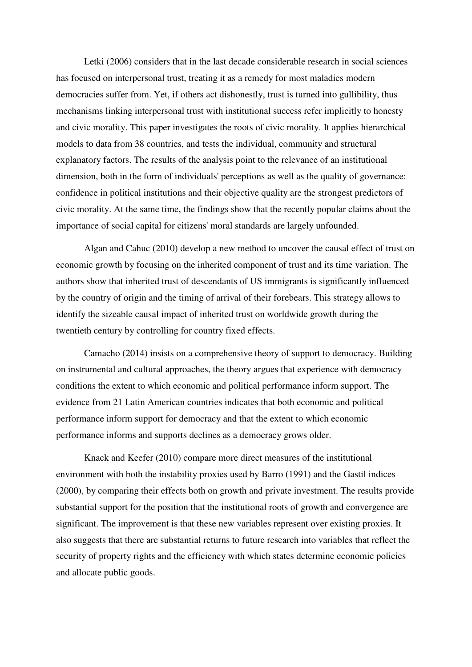Letki (2006) considers that in the last decade considerable research in social sciences has focused on interpersonal trust, treating it as a remedy for most maladies modern democracies suffer from. Yet, if others act dishonestly, trust is turned into gullibility, thus mechanisms linking interpersonal trust with institutional success refer implicitly to honesty and civic morality. This paper investigates the roots of civic morality. It applies hierarchical models to data from 38 countries, and tests the individual, community and structural explanatory factors. The results of the analysis point to the relevance of an institutional dimension, both in the form of individuals' perceptions as well as the quality of governance: confidence in political institutions and their objective quality are the strongest predictors of civic morality. At the same time, the findings show that the recently popular claims about the importance of social capital for citizens' moral standards are largely unfounded.

Algan and Cahuc (2010) develop a new method to uncover the causal effect of trust on economic growth by focusing on the inherited component of trust and its time variation. The authors show that inherited trust of descendants of US immigrants is significantly influenced by the country of origin and the timing of arrival of their forebears. This strategy allows to identify the sizeable causal impact of inherited trust on worldwide growth during the twentieth century by controlling for country fixed effects.

Camacho (2014) insists on a comprehensive theory of support to democracy. Building on instrumental and cultural approaches, the theory argues that experience with democracy conditions the extent to which economic and political performance inform support. The evidence from 21 Latin American countries indicates that both economic and political performance inform support for democracy and that the extent to which economic performance informs and supports declines as a democracy grows older.

Knack and Keefer (2010) compare more direct measures of the institutional environment with both the instability proxies used by Barro (1991) and the Gastil indices (2000), by comparing their effects both on growth and private investment. The results provide substantial support for the position that the institutional roots of growth and convergence are significant. The improvement is that these new variables represent over existing proxies. It also suggests that there are substantial returns to future research into variables that reflect the security of property rights and the efficiency with which states determine economic policies and allocate public goods.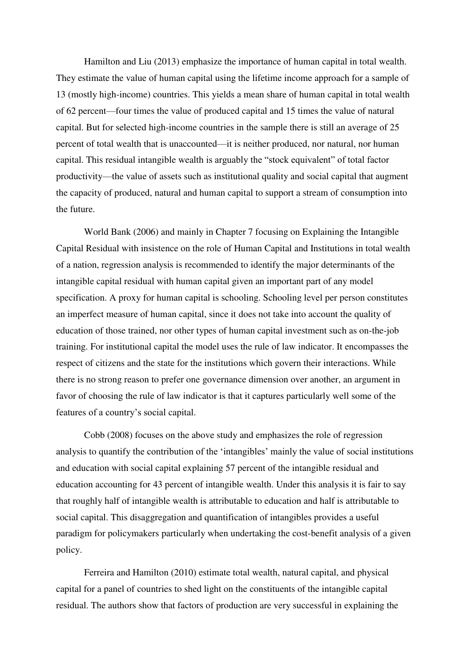Hamilton and Liu (2013) emphasize the importance of human capital in total wealth. They estimate the value of human capital using the lifetime income approach for a sample of 13 (mostly high-income) countries. This yields a mean share of human capital in total wealth of 62 percent—four times the value of produced capital and 15 times the value of natural capital. But for selected high-income countries in the sample there is still an average of 25 percent of total wealth that is unaccounted—it is neither produced, nor natural, nor human capital. This residual intangible wealth is arguably the "stock equivalent" of total factor productivity—the value of assets such as institutional quality and social capital that augment the capacity of produced, natural and human capital to support a stream of consumption into the future.

World Bank (2006) and mainly in Chapter 7 focusing on Explaining the Intangible Capital Residual with insistence on the role of Human Capital and Institutions in total wealth of a nation, regression analysis is recommended to identify the major determinants of the intangible capital residual with human capital given an important part of any model specification. A proxy for human capital is schooling. Schooling level per person constitutes an imperfect measure of human capital, since it does not take into account the quality of education of those trained, nor other types of human capital investment such as on-the-job training. For institutional capital the model uses the rule of law indicator. It encompasses the respect of citizens and the state for the institutions which govern their interactions. While there is no strong reason to prefer one governance dimension over another, an argument in favor of choosing the rule of law indicator is that it captures particularly well some of the features of a country's social capital.

Cobb (2008) focuses on the above study and emphasizes the role of regression analysis to quantify the contribution of the 'intangibles' mainly the value of social institutions and education with social capital explaining 57 percent of the intangible residual and education accounting for 43 percent of intangible wealth. Under this analysis it is fair to say that roughly half of intangible wealth is attributable to education and half is attributable to social capital. This disaggregation and quantification of intangibles provides a useful paradigm for policymakers particularly when undertaking the cost-benefit analysis of a given policy.

Ferreira and Hamilton (2010) estimate total wealth, natural capital, and physical capital for a panel of countries to shed light on the constituents of the intangible capital residual. The authors show that factors of production are very successful in explaining the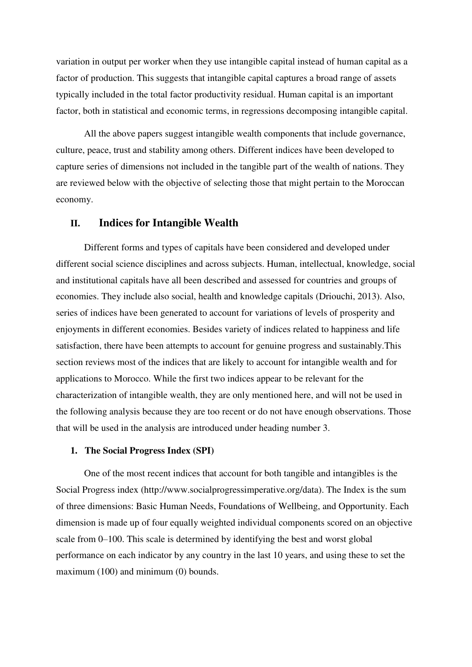variation in output per worker when they use intangible capital instead of human capital as a factor of production. This suggests that intangible capital captures a broad range of assets typically included in the total factor productivity residual. Human capital is an important factor, both in statistical and economic terms, in regressions decomposing intangible capital.

All the above papers suggest intangible wealth components that include governance, culture, peace, trust and stability among others. Different indices have been developed to capture series of dimensions not included in the tangible part of the wealth of nations. They are reviewed below with the objective of selecting those that might pertain to the Moroccan economy.

# **II. Indices for Intangible Wealth**

Different forms and types of capitals have been considered and developed under different social science disciplines and across subjects. Human, intellectual, knowledge, social and institutional capitals have all been described and assessed for countries and groups of economies. They include also social, health and knowledge capitals (Driouchi, 2013). Also, series of indices have been generated to account for variations of levels of prosperity and enjoyments in different economies. Besides variety of indices related to happiness and life satisfaction, there have been attempts to account for genuine progress and sustainably.This section reviews most of the indices that are likely to account for intangible wealth and for applications to Morocco. While the first two indices appear to be relevant for the characterization of intangible wealth, they are only mentioned here, and will not be used in the following analysis because they are too recent or do not have enough observations. Those that will be used in the analysis are introduced under heading number 3.

### **1. The Social Progress Index (SPI)**

One of the most recent indices that account for both tangible and intangibles is the Social Progress index [\(http://www.socialprogressimperative.org/data\)](http://www.socialprogressimperative.org/data). The Index is the sum of three dimensions: Basic Human Needs, Foundations of Wellbeing, and Opportunity. Each dimension is made up of four equally weighted individual components scored on an objective scale from 0–100. This scale is determined by identifying the best and worst global performance on each indicator by any country in the last 10 years, and using these to set the maximum (100) and minimum (0) bounds.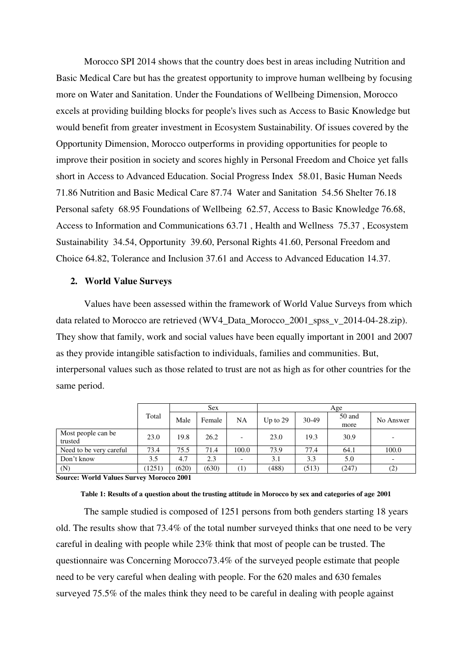Morocco SPI 2014 shows that the country does best in areas including Nutrition and Basic Medical Care but has the greatest opportunity to improve human wellbeing by focusing more on Water and Sanitation. Under the Foundations of Wellbeing Dimension, Morocco excels at providing building blocks for people's lives such as Access to Basic Knowledge but would benefit from greater investment in Ecosystem Sustainability. Of issues covered by the Opportunity Dimension, Morocco outperforms in providing opportunities for people to improve their position in society and scores highly in Personal Freedom and Choice yet falls short in Access to Advanced Education. Social Progress Index 58.01, Basic Human Needs 71.86 Nutrition and Basic Medical Care 87.74 Water and Sanitation 54.56 Shelter 76.18 Personal safety 68.95 Foundations of Wellbeing 62.57, Access to Basic Knowledge 76.68, Access to Information and Communications 63.71 , Health and Wellness 75.37 , Ecosystem Sustainability 34.54, Opportunity 39.60, Personal Rights 41.60, Personal Freedom and Choice 64.82, Tolerance and Inclusion 37.61 and Access to Advanced Education 14.37.

### **2. World Value Surveys**

Values have been assessed within the framework of World Value Surveys from which data related to Morocco are retrieved (WV4\_Data\_Morocco\_2001\_spss\_v\_2014-04-28.zip). They show that family, work and social values have been equally important in 2001 and 2007 as they provide intangible satisfaction to individuals, families and communities. But, interpersonal values such as those related to trust are not as high as for other countries for the same period.

|                               |        |       | <b>Sex</b> |                          |            | Age   |                |           |  |
|-------------------------------|--------|-------|------------|--------------------------|------------|-------|----------------|-----------|--|
|                               | Total  | Male  | Female     | NA                       | Up to $29$ | 30-49 | 50 and<br>more | No Answer |  |
| Most people can be<br>trusted | 23.0   | 19.8  | 26.2       | $\overline{\phantom{a}}$ | 23.0       | 19.3  | 30.9           |           |  |
| Need to be very careful       | 73.4   | 75.5  | 71.4       | 100.0                    | 73.9       | 77.4  | 64.1           | 100.0     |  |
| Don't know                    | 3.5    | 4.7   | 2.3        | $\overline{\phantom{0}}$ | 3.1        | 3.3   | 5.0            |           |  |
| (N)                           | (1251) | (620) | (630)      | $^{(1)}$                 | (488)      | (513) | (247)          | (2)       |  |

**Source: World Values Survey Morocco 2001** 

### **Table 1: Results of a question about the trusting attitude in Morocco by sex and categories of age 2001**

The sample studied is composed of 1251 persons from both genders starting 18 years old. The results show that 73.4% of the total number surveyed thinks that one need to be very careful in dealing with people while 23% think that most of people can be trusted. The questionnaire was Concerning Morocco73.4% of the surveyed people estimate that people need to be very careful when dealing with people. For the 620 males and 630 females surveyed 75.5% of the males think they need to be careful in dealing with people against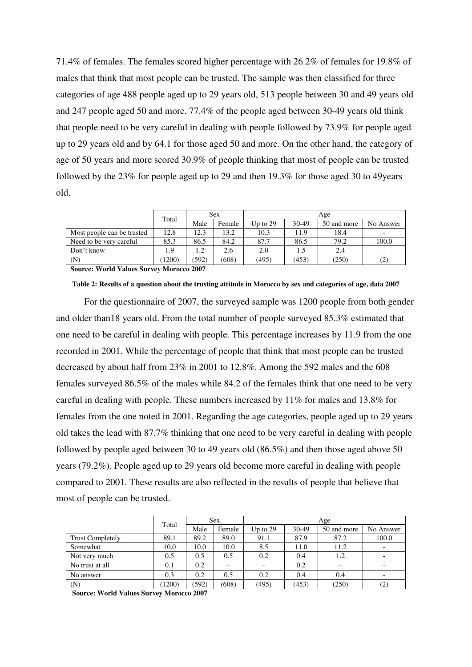71.4% of females. The females scored higher percentage with 26.2% of females for 19.8% of males that think that most people can be trusted. The sample was then classified for three categories of age 488 people aged up to 29 years old, 513 people between 30 and 49 years old and 247 people aged 50 and more. 77.4% of the people aged between 30-49 years old think that people need to be very careful in dealing with people followed by 73.9% for people aged up to 29 years old and by 64.1 for those aged 50 and more. On the other hand, the category of age of 50 years and more scored 30.9% of people thinking that most of people can be trusted followed by the 23% for people aged up to 29 and then 19.3% for those aged 30 to 49years old.

|                            |        | <b>Sex</b> |        | Age        |       |             |           |  |
|----------------------------|--------|------------|--------|------------|-------|-------------|-----------|--|
|                            | Total  | Male       | Female | Up to $29$ | 30-49 | 50 and more | No Answer |  |
| Most people can be trusted | 12.8   | 12.3       | 13.2   | 10.3       | 11.9  | 18.4        |           |  |
| Need to be very careful    | 85.3   | 86.5       | 84.2   | 87.7       | 86.5  | 79.2        | 100.0     |  |
| Don't know                 | 1.9    | 1.2        | 2.6    | 2.0        |       | 2.4         |           |  |
| (N)                        | (1200) | (592)      | (608)  | (495)      | (453) | (250)       | (2)       |  |

**Table 2: Results of a question about the trusting attitude in Morocco by sex and categories of age, data 2007** 

 **Source: World Values Survey Morocco 2007** 

For the questionnaire of 2007, the surveyed sample was 1200 people from both gender and older than18 years old. From the total number of people surveyed 85.3% estimated that one need to be careful in dealing with people. This percentage increases by 11.9 from the one recorded in 2001. While the percentage of people that think that most people can be trusted decreased by about half from 23% in 2001 to 12.8%. Among the 592 males and the 608 females surveyed 86.5% of the males while 84.2 of the females think that one need to be very careful in dealing with people. These numbers increased by 11% for males and 13.8% for females from the one noted in 2001. Regarding the age categories, people aged up to 29 years old takes the lead with 87.7% thinking that one need to be very careful in dealing with people followed by people aged between 30 to 49 years old (86.5%) and then those aged above 50 years (79.2%). People aged up to 29 years old become more careful in dealing with people compared to 2001. These results are also reflected in the results of people that believe that most of people can be trusted.

|                         | Total  |       | <b>Sex</b> | Age        |       |             |           |  |
|-------------------------|--------|-------|------------|------------|-------|-------------|-----------|--|
|                         |        | Male  | Female     | Up to $29$ | 30-49 | 50 and more | No Answer |  |
| <b>Trust Completely</b> | 89.1   | 89.2  | 89.0       | 91.1       | 87.9  | 87.2        | 100.0     |  |
| Somewhat                | 10.0   | 10.0  | 10.0       | 8.5        | 11.0  | 11.2        |           |  |
| Not very much           | 0.5    | 0.5   | 0.5        | 0.2        | 0.4   | 1.2         |           |  |
| No trust at all         | 0.1    | 0.2   |            |            | 0.2   |             |           |  |
| No answer               | 0.3    | 0.2   | 0.5        | 0.2        | 0.4   | 0.4         |           |  |
| (N)                     | (1200) | (592) | (608)      | (495)      | (453) | (250)       | (2)       |  |

 **Source: World Values Survey Morocco 2007**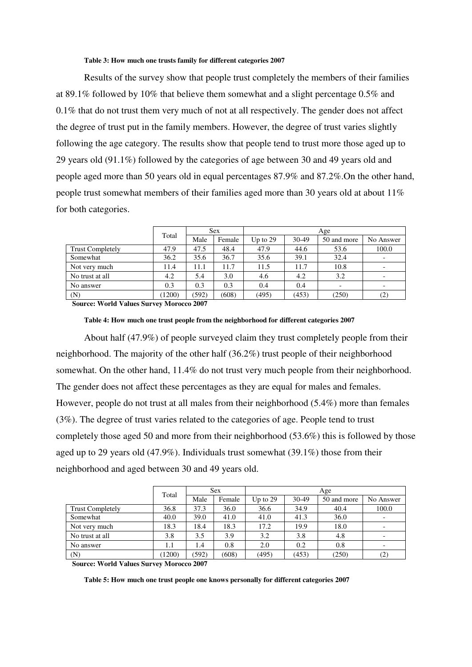#### **Table 3: How much one trusts family for different categories 2007**

Results of the survey show that people trust completely the members of their families at 89.1% followed by 10% that believe them somewhat and a slight percentage 0.5% and 0.1% that do not trust them very much of not at all respectively. The gender does not affect the degree of trust put in the family members. However, the degree of trust varies slightly following the age category. The results show that people tend to trust more those aged up to 29 years old (91.1%) followed by the categories of age between 30 and 49 years old and people aged more than 50 years old in equal percentages 87.9% and 87.2%.On the other hand, people trust somewhat members of their families aged more than 30 years old at about 11% for both categories.

|                         | Total  |       | <b>Sex</b> | Age        |       |             |           |  |
|-------------------------|--------|-------|------------|------------|-------|-------------|-----------|--|
|                         |        | Male  | Female     | Up to $29$ | 30-49 | 50 and more | No Answer |  |
| <b>Trust Completely</b> | 47.9   | 47.5  | 48.4       | 47.9       | 44.6  | 53.6        | 100.0     |  |
| Somewhat                | 36.2   | 35.6  | 36.7       | 35.6       | 39.1  | 32.4        |           |  |
| Not very much           | 11.4   | 11.1  | 11.7       | 11.5       | 11.7  | 10.8        |           |  |
| No trust at all         | 4.2    | 5.4   | 3.0        | 4.6        | 4.2   | 3.2         |           |  |
| No answer               | 0.3    | 0.3   | 0.3        | 0.4        | 0.4   |             |           |  |
| (N)                     | (1200) | (592) | (608)      | (495)      | (453) | (250)       | (2)       |  |

 **Source: World Values Survey Morocco 2007** 

**Table 4: How much one trust people from the neighborhood for different categories 2007** 

About half (47.9%) of people surveyed claim they trust completely people from their neighborhood. The majority of the other half (36.2%) trust people of their neighborhood somewhat. On the other hand, 11.4% do not trust very much people from their neighborhood. The gender does not affect these percentages as they are equal for males and females. However, people do not trust at all males from their neighborhood (5.4%) more than females (3%). The degree of trust varies related to the categories of age. People tend to trust completely those aged 50 and more from their neighborhood (53.6%) this is followed by those aged up to 29 years old (47.9%). Individuals trust somewhat (39.1%) those from their neighborhood and aged between 30 and 49 years old.

|                         | Total  |       | <b>Sex</b> |            | Age   |             |           |  |
|-------------------------|--------|-------|------------|------------|-------|-------------|-----------|--|
|                         |        | Male  | Female     | Up to $29$ | 30-49 | 50 and more | No Answer |  |
| <b>Trust Completely</b> | 36.8   | 37.3  | 36.0       | 36.6       | 34.9  | 40.4        | 100.0     |  |
| Somewhat                | 40.0   | 39.0  | 41.0       | 41.0       | 41.3  | 36.0        |           |  |
| Not very much           | 18.3   | 18.4  | 18.3       | 17.2       | 19.9  | 18.0        |           |  |
| No trust at all         | 3.8    | 3.5   | 3.9        | 3.2        | 3.8   | 4.8         |           |  |
| No answer               | 1.1    | 1.4   | 0.8        | 2.0        | 0.2   | 0.8         |           |  |
| (N)                     | (1200) | (592) | (608)      | (495)      | (453) | (250)       | (2)       |  |

 **Source: World Values Survey Morocco 2007** 

**Table 5: How much one trust people one knows personally for different categories 2007**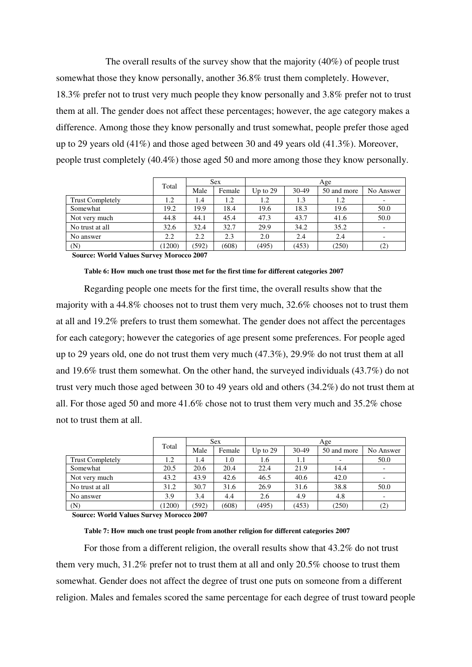The overall results of the survey show that the majority (40%) of people trust somewhat those they know personally, another 36.8% trust them completely. However, 18.3% prefer not to trust very much people they know personally and 3.8% prefer not to trust them at all. The gender does not affect these percentages; however, the age category makes a difference. Among those they know personally and trust somewhat, people prefer those aged up to 29 years old (41%) and those aged between 30 and 49 years old (41.3%). Moreover, people trust completely (40.4%) those aged 50 and more among those they know personally.

|                         | Total  | <b>Sex</b> |        | Age        |       |             |           |
|-------------------------|--------|------------|--------|------------|-------|-------------|-----------|
|                         |        | Male       | Female | Up to $29$ | 30-49 | 50 and more | No Answer |
| <b>Trust Completely</b> | 1.2    | 1.4        | 1.2    | 1.2        | 1.3   | 1.2         |           |
| Somewhat                | 19.2   | 19.9       | 18.4   | 19.6       | 18.3  | 19.6        | 50.0      |
| Not very much           | 44.8   | 44.1       | 45.4   | 47.3       | 43.7  | 41.6        | 50.0      |
| No trust at all         | 32.6   | 32.4       | 32.7   | 29.9       | 34.2  | 35.2        |           |
| No answer               | 2.2    | 2.2        | 2.3    | 2.0        | 2.4   | 2.4         |           |
| (N)                     | (1200) | (592)      | (608)  | (495)      | (453) | (250)       | (2)       |

 **Source: World Values Survey Morocco 2007** 

#### **Table 6: How much one trust those met for the first time for different categories 2007**

Regarding people one meets for the first time, the overall results show that the majority with a 44.8% chooses not to trust them very much, 32.6% chooses not to trust them at all and 19.2% prefers to trust them somewhat. The gender does not affect the percentages for each category; however the categories of age present some preferences. For people aged up to 29 years old, one do not trust them very much (47.3%), 29.9% do not trust them at all and 19.6% trust them somewhat. On the other hand, the surveyed individuals (43.7%) do not trust very much those aged between 30 to 49 years old and others (34.2%) do not trust them at all. For those aged 50 and more 41.6% chose not to trust them very much and 35.2% chose not to trust them at all.

|                         | Total  | <b>Sex</b> |        | Age        |       |                          |           |
|-------------------------|--------|------------|--------|------------|-------|--------------------------|-----------|
|                         |        | Male       | Female | Up to $29$ | 30-49 | 50 and more              | No Answer |
| <b>Trust Completely</b> | 1.2    | 1.4        | 1.0    | 1.6        | 1.1   | $\overline{\phantom{a}}$ | 50.0      |
| Somewhat                | 20.5   | 20.6       | 20.4   | 22.4       | 21.9  | 14.4                     |           |
| Not very much           | 43.2   | 43.9       | 42.6   | 46.5       | 40.6  | 42.0                     |           |
| No trust at all         | 31.2   | 30.7       | 31.6   | 26.9       | 31.6  | 38.8                     | 50.0      |
| No answer               | 3.9    | 3.4        | 4.4    | 2.6        | 4.9   | 4.8                      |           |
| (N)                     | (1200) | (592)      | (608)  | (495)      | (453) | (250)                    | (2)       |

 **Source: World Values Survey Morocco 2007** 

#### **Table 7: How much one trust people from another religion for different categories 2007**

For those from a different religion, the overall results show that 43.2% do not trust them very much, 31.2% prefer not to trust them at all and only 20.5% choose to trust them somewhat. Gender does not affect the degree of trust one puts on someone from a different religion. Males and females scored the same percentage for each degree of trust toward people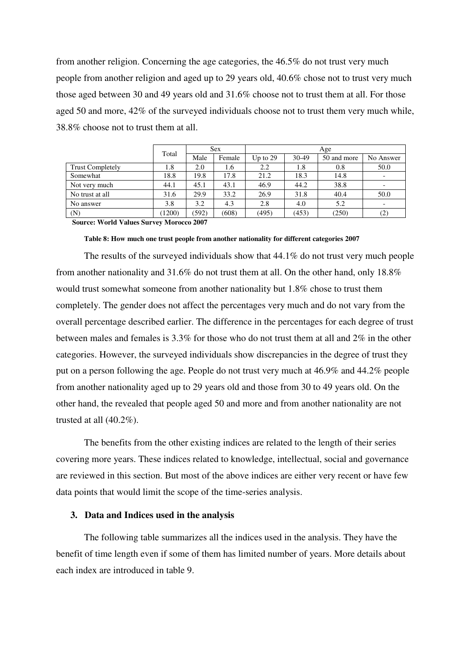from another religion. Concerning the age categories, the 46.5% do not trust very much people from another religion and aged up to 29 years old, 40.6% chose not to trust very much those aged between 30 and 49 years old and 31.6% choose not to trust them at all. For those aged 50 and more, 42% of the surveyed individuals choose not to trust them very much while, 38.8% choose not to trust them at all.

|                         |        | <b>Sex</b> |        | Age        |       |             |           |
|-------------------------|--------|------------|--------|------------|-------|-------------|-----------|
|                         | Total  | Male       | Female | Up to $29$ | 30-49 | 50 and more | No Answer |
| <b>Trust Completely</b> | 1.8    | 2.0        | 1.6    | 2.2        | 1.8   | 0.8         | 50.0      |
| Somewhat                | 18.8   | 19.8       | 17.8   | 21.2       | 18.3  | 14.8        |           |
| Not very much           | 44.1   | 45.1       | 43.1   | 46.9       | 44.2  | 38.8        |           |
| No trust at all         | 31.6   | 29.9       | 33.2   | 26.9       | 31.8  | 40.4        | 50.0      |
| No answer               | 3.8    | 3.2        | 4.3    | 2.8        | 4.0   | 5.2         |           |
| (N)                     | (1200) | (592)      | (608)  | (495)      | (453) | (250)       | (2)       |

 **Source: World Values Survey Morocco 2007** 

#### **Table 8: How much one trust people from another nationality for different categories 2007**

The results of the surveyed individuals show that 44.1% do not trust very much people from another nationality and 31.6% do not trust them at all. On the other hand, only 18.8% would trust somewhat someone from another nationality but 1.8% chose to trust them completely. The gender does not affect the percentages very much and do not vary from the overall percentage described earlier. The difference in the percentages for each degree of trust between males and females is 3.3% for those who do not trust them at all and 2% in the other categories. However, the surveyed individuals show discrepancies in the degree of trust they put on a person following the age. People do not trust very much at 46.9% and 44.2% people from another nationality aged up to 29 years old and those from 30 to 49 years old. On the other hand, the revealed that people aged 50 and more and from another nationality are not trusted at all (40.2%).

The benefits from the other existing indices are related to the length of their series covering more years. These indices related to knowledge, intellectual, social and governance are reviewed in this section. But most of the above indices are either very recent or have few data points that would limit the scope of the time-series analysis.

#### **3. Data and Indices used in the analysis**

The following table summarizes all the indices used in the analysis. They have the benefit of time length even if some of them has limited number of years. More details about each index are introduced in table 9.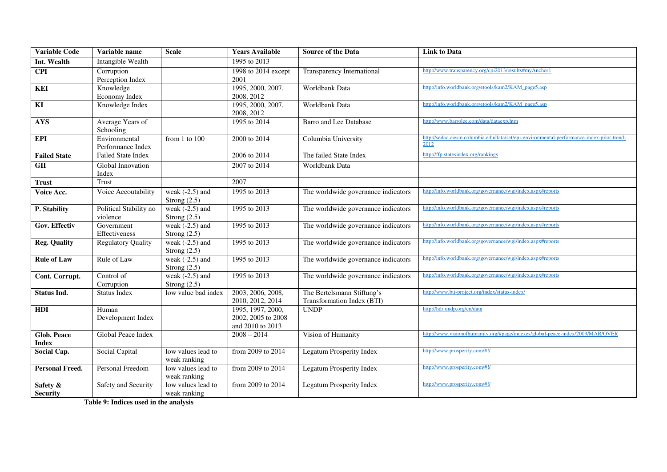| <b>Variable Code</b>               | Variable name                      | <b>Scale</b>                        | <b>Years Available</b>                                      | <b>Source of the Data</b>                                | <b>Link to Data</b>                                                                                |
|------------------------------------|------------------------------------|-------------------------------------|-------------------------------------------------------------|----------------------------------------------------------|----------------------------------------------------------------------------------------------------|
| Int. Wealth                        | Intangible Wealth                  |                                     | 1995 to 2013                                                |                                                          |                                                                                                    |
| <b>CPI</b>                         | Corruption                         |                                     | 1998 to 2014 except                                         | Transparency International                               | http://www.transparency.org/cpi2013/results#myAnchor1                                              |
|                                    | Perception Index                   |                                     | 2001                                                        |                                                          |                                                                                                    |
| <b>KEI</b>                         | Knowledge                          |                                     | 1995, 2000, 2007,                                           | Worldbank Data                                           | http://info.worldbank.org/etools/kam2/KAM_page5.asp                                                |
|                                    | Economy Index                      |                                     | 2008, 2012                                                  |                                                          |                                                                                                    |
| KI                                 | Knowledge Index                    |                                     | 1995, 2000, 2007,<br>2008, 2012                             | Worldbank Data                                           | http://info.worldbank.org/etools/kam2/KAM_page5.asp                                                |
| <b>AYS</b>                         | Average Years of<br>Schooling      |                                     | 1995 to 2014                                                | Barro and Lee Database                                   | http://www.barrolee.com/data/dataexp.htm                                                           |
| <b>EPI</b>                         | Environmental<br>Performance Index | from 1 to 100                       | 2000 to 2014                                                | Columbia University                                      | http://sedac.ciesin.columbia.edu/data/set/epi-environmental-performance-index-pilot-trend-<br>2012 |
| <b>Failed State</b>                | <b>Failed State Index</b>          |                                     | 2006 to 2014                                                | The failed State Index                                   | http://ffp.statesindex.org/rankings                                                                |
| <b>GII</b>                         | Global Innovation                  |                                     | 2007 to 2014                                                | Worldbank Data                                           |                                                                                                    |
|                                    | Index                              |                                     |                                                             |                                                          |                                                                                                    |
| <b>Trust</b>                       | <b>Trust</b>                       |                                     | 2007                                                        |                                                          |                                                                                                    |
| Voice Acc.                         | Voice Accoutability                | weak $(-2.5)$ and<br>Strong $(2.5)$ | 1995 to 2013                                                | The worldwide governance indicators                      | http://info.worldbank.org/governance/wgi/index.aspx#reports                                        |
| P. Stability                       | Political Stability no<br>violence | weak $(-2.5)$ and<br>Strong $(2.5)$ | 1995 to 2013                                                | The worldwide governance indicators                      | http://info.worldbank.org/governance/wgi/index.aspx#reports                                        |
| Gov. Effectiv                      | Government<br>Effectiveness        | weak $(-2.5)$ and<br>Strong $(2.5)$ | 1995 to 2013                                                | The worldwide governance indicators                      | http://info.worldbank.org/governance/wgi/index.aspx#reports                                        |
| <b>Reg. Quality</b>                | <b>Regulatory Quality</b>          | weak $(-2.5)$ and<br>Strong $(2.5)$ | 1995 to 2013                                                | The worldwide governance indicators                      | http://info.worldbank.org/governance/wgi/index.aspx#reports                                        |
| <b>Rule of Law</b>                 | Rule of Law                        | weak $(-2.5)$ and<br>Strong $(2.5)$ | 1995 to 2013                                                | The worldwide governance indicators                      | http://info.worldbank.org/governance/wgi/index.aspx#reports                                        |
| Cont. Corrupt.                     | Control of<br>Corruption           | weak $(-2.5)$ and<br>Strong $(2.5)$ | 1995 to 2013                                                | The worldwide governance indicators                      | http://info.worldbank.org/governance/wgi/index.aspx#reports                                        |
| <b>Status Ind.</b>                 | <b>Status Index</b>                | low value bad index                 | 2003, 2006, 2008,<br>2010, 2012, 2014                       | The Bertelsmann Stiftung's<br>Transformation Index (BTI) | http://www.bti-project.org/index/status-index/                                                     |
| <b>HDI</b>                         | Human<br>Development Index         |                                     | 1995, 1997, 2000,<br>2002, 2005 to 2008<br>and 2010 to 2013 | <b>UNDP</b>                                              | http://hdr.undp.org/en/data                                                                        |
| <b>Glob. Peace</b><br><b>Index</b> | Global Peace Index                 |                                     | $2008 - 2014$                                               | Vision of Humanity                                       | http://www.visionofhumanity.org/#page/indexes/global-peace-index/2009/MAR/OVER                     |
| Social Cap.                        | Social Capital                     | low values lead to<br>weak ranking  | from 2009 to 2014                                           | Legatum Prosperity Index                                 | http://www.prosperity.com/#!/                                                                      |
| Personal Freed.                    | Personal Freedom                   | low values lead to<br>weak ranking  | from 2009 to 2014                                           | Legatum Prosperity Index                                 | http://www.prosperity.com/#!/                                                                      |
| Safety &<br><b>Security</b>        | Safety and Security                | low values lead to<br>weak ranking  | from 2009 to 2014                                           | Legatum Prosperity Index                                 | http://www.prosperity.com/#!/                                                                      |

**Table 9: Indices used in the analysis**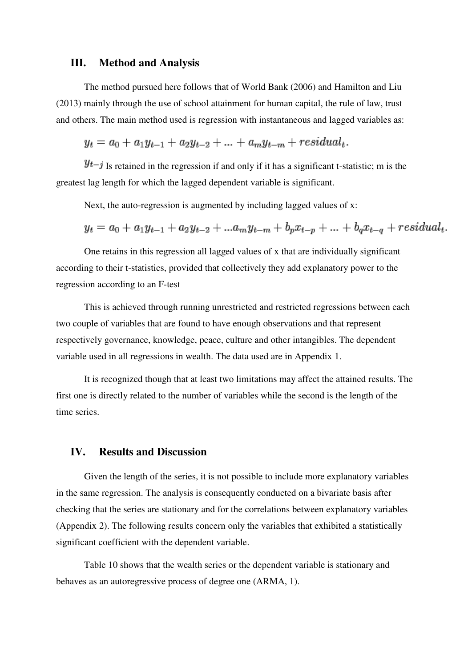### **III. Method and Analysis**

The method pursued here follows that of World Bank (2006) and Hamilton and Liu (2013) mainly through the use of school attainment for human capital, the rule of law, trust and others. The main method used is regression with instantaneous and lagged variables as:

 $y_t = a_0 + a_1 y_{t-1} + a_2 y_{t-2} + \dots + a_m y_{t-m} + residual_t.$ 

 $y_{t-j}$  Is retained in the regression if and only if it has a significant t-statistic; m is the greatest lag length for which the lagged dependent variable is significant.

Next, the auto-regression is augmented by including lagged values of x:

$$
y_t = a_0 + a_1 y_{t-1} + a_2 y_{t-2} + \dots + a_m y_{t-m} + b_p x_{t-p} + \dots + b_q x_{t-q} + residual_t.
$$

One retains in this regression all lagged values of x that are individually significant according to their t-statistics, provided that collectively they add explanatory power to the regression according to an F-test

This is achieved through running unrestricted and restricted regressions between each two couple of variables that are found to have enough observations and that represent respectively governance, knowledge, peace, culture and other intangibles. The dependent variable used in all regressions in wealth. The data used are in Appendix 1.

It is recognized though that at least two limitations may affect the attained results. The first one is directly related to the number of variables while the second is the length of the time series.

# **IV. Results and Discussion**

Given the length of the series, it is not possible to include more explanatory variables in the same regression. The analysis is consequently conducted on a bivariate basis after checking that the series are stationary and for the correlations between explanatory variables (Appendix 2). The following results concern only the variables that exhibited a statistically significant coefficient with the dependent variable.

Table 10 shows that the wealth series or the dependent variable is stationary and behaves as an autoregressive process of degree one (ARMA, 1).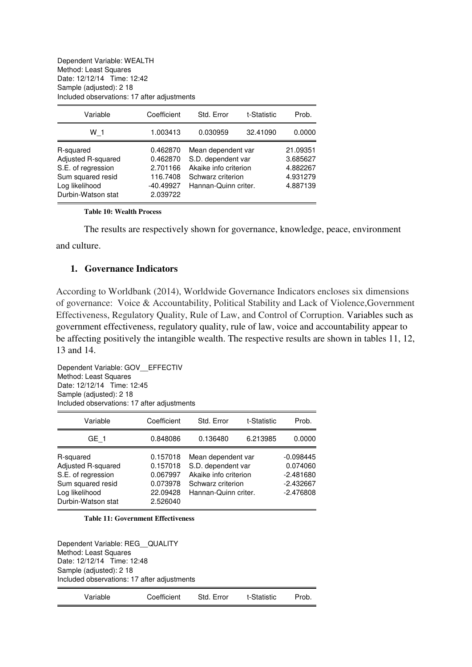Dependent Variable: WEALTH Method: Least Squares Date: 12/12/14 Time: 12:42 Sample (adjusted): 2 18 Included observations: 17 after adjustments

| Variable                                                                                                           | Coefficient                                                             | Std. Error                                                                                                     | t-Statistic | Prob.                                                    |
|--------------------------------------------------------------------------------------------------------------------|-------------------------------------------------------------------------|----------------------------------------------------------------------------------------------------------------|-------------|----------------------------------------------------------|
| W 1                                                                                                                | 1.003413                                                                | 0.030959                                                                                                       | 32.41090    | 0.0000                                                   |
| R-squared<br>Adjusted R-squared<br>S.E. of regression<br>Sum squared resid<br>Log likelihood<br>Durbin-Watson stat | 0.462870<br>0.462870<br>2.701166<br>116.7408<br>$-40.49927$<br>2.039722 | Mean dependent var<br>S.D. dependent var<br>Akaike info criterion<br>Schwarz criterion<br>Hannan-Quinn criter. |             | 21.09351<br>3.685627<br>4.882267<br>4.931279<br>4.887139 |

#### **Table 10: Wealth Process**

The results are respectively shown for governance, knowledge, peace, environment and culture.

### **1. Governance Indicators**

According to Worldbank (2014), Worldwide Governance Indicators encloses six dimensions of governance: Voice & Accountability, Political Stability and Lack of Violence,Government Effectiveness, Regulatory Quality, Rule of Law, and Control of Corruption. Variables such as government effectiveness, regulatory quality, rule of law, voice and accountability appear to be affecting positively the intangible wealth. The respective results are shown in tables 11, 12, 13 and 14.

Dependent Variable: GOV\_\_EFFECTIV Method: Least Squares Date: 12/12/14 Time: 12:45 Sample (adjusted): 2 18 Included observations: 17 after adjustments

| Variable                                                                                                           | Coefficient                                                          | Std. Error                                                                                                     | t-Statistic | Prob.                                                                |
|--------------------------------------------------------------------------------------------------------------------|----------------------------------------------------------------------|----------------------------------------------------------------------------------------------------------------|-------------|----------------------------------------------------------------------|
| GE 1                                                                                                               | 0.848086                                                             | 0.136480                                                                                                       | 6.213985    | 0.0000                                                               |
| R-squared<br>Adjusted R-squared<br>S.E. of regression<br>Sum squared resid<br>Log likelihood<br>Durbin-Watson stat | 0.157018<br>0.157018<br>0.067997<br>0.073978<br>22.09428<br>2.526040 | Mean dependent var<br>S.D. dependent var<br>Akaike info criterion<br>Schwarz criterion<br>Hannan-Quinn criter. |             | $-0.098445$<br>0.074060<br>$-2.481680$<br>$-2.432667$<br>$-2.476808$ |

**Table 11: Government Effectiveness** 

Dependent Variable: REG\_\_QUALITY Method: Least Squares Date: 12/12/14 Time: 12:48 Sample (adjusted): 2 18 Included observations: 17 after adjustments

| Variable | Coefficient | Std. Error | t-Statistic | Prob. |
|----------|-------------|------------|-------------|-------|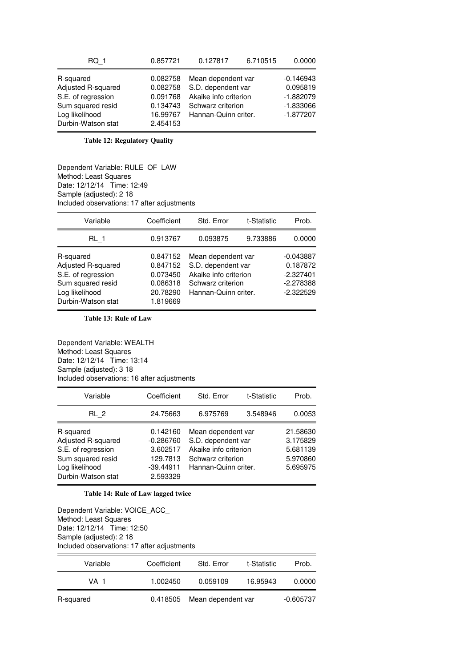| RQ 1                                                                                                               | 0.857721                                                             | 0.127817                                                                                                       | 6.710515 | 0.0000                                                               |
|--------------------------------------------------------------------------------------------------------------------|----------------------------------------------------------------------|----------------------------------------------------------------------------------------------------------------|----------|----------------------------------------------------------------------|
| R-squared<br>Adjusted R-squared<br>S.E. of regression<br>Sum squared resid<br>Log likelihood<br>Durbin-Watson stat | 0.082758<br>0.082758<br>0.091768<br>0.134743<br>16.99767<br>2.454153 | Mean dependent var<br>S.D. dependent var<br>Akaike info criterion<br>Schwarz criterion<br>Hannan-Quinn criter. |          | $-0.146943$<br>0.095819<br>$-1.882079$<br>$-1.833066$<br>$-1.877207$ |

**Table 12: Regulatory Quality** 

Dependent Variable: RULE\_OF\_LAW Method: Least Squares Date: 12/12/14 Time: 12:49 Sample (adjusted): 2 18 Included observations: 17 after adjustments

| Variable                                                                                                           | Coefficient                                                          | Std. Error                                                                                                     | t-Statistic | Prob.                                                                |
|--------------------------------------------------------------------------------------------------------------------|----------------------------------------------------------------------|----------------------------------------------------------------------------------------------------------------|-------------|----------------------------------------------------------------------|
| RL 1                                                                                                               | 0.913767                                                             | 0.093875                                                                                                       | 9.733886    | 0.0000                                                               |
| R-squared<br>Adjusted R-squared<br>S.E. of regression<br>Sum squared resid<br>Log likelihood<br>Durbin-Watson stat | 0.847152<br>0.847152<br>0.073450<br>0.086318<br>20.78290<br>1.819669 | Mean dependent var<br>S.D. dependent var<br>Akaike info criterion<br>Schwarz criterion<br>Hannan-Quinn criter. |             | $-0.043887$<br>0.187872<br>$-2.327401$<br>$-2.278388$<br>$-2.322529$ |

**Table 13: Rule of Law**

Dependent Variable: WEALTH Method: Least Squares Date: 12/12/14 Time: 13:14 Sample (adjusted): 3 18 Included observations: 16 after adjustments

| Variable                                                                                                           | Coefficient                                                                | Std. Error                                                                                                     | t-Statistic | Prob.                                                    |
|--------------------------------------------------------------------------------------------------------------------|----------------------------------------------------------------------------|----------------------------------------------------------------------------------------------------------------|-------------|----------------------------------------------------------|
| RL 2                                                                                                               | 24.75663                                                                   | 6.975769                                                                                                       | 3.548946    | 0.0053                                                   |
| R-squared<br>Adjusted R-squared<br>S.E. of regression<br>Sum squared resid<br>Log likelihood<br>Durbin-Watson stat | 0.142160<br>$-0.286760$<br>3.602517<br>129.7813<br>$-39.44911$<br>2.593329 | Mean dependent var<br>S.D. dependent var<br>Akaike info criterion<br>Schwarz criterion<br>Hannan-Quinn criter. |             | 21.58630<br>3.175829<br>5.681139<br>5.970860<br>5.695975 |

#### **Table 14: Rule of Law lagged twice**

Dependent Variable: VOICE\_ACC\_ Method: Least Squares Date: 12/12/14 Time: 12:50 Sample (adjusted): 2 18 Included observations: 17 after adjustments

| Variable  | Coefficient | Std. Error         | t-Statistic | Prob.       |
|-----------|-------------|--------------------|-------------|-------------|
| VA 1      | 1.002450    | 0.059109           | 16.95943    | 0.0000      |
| R-squared | 0.418505    | Mean dependent var |             | $-0.605737$ |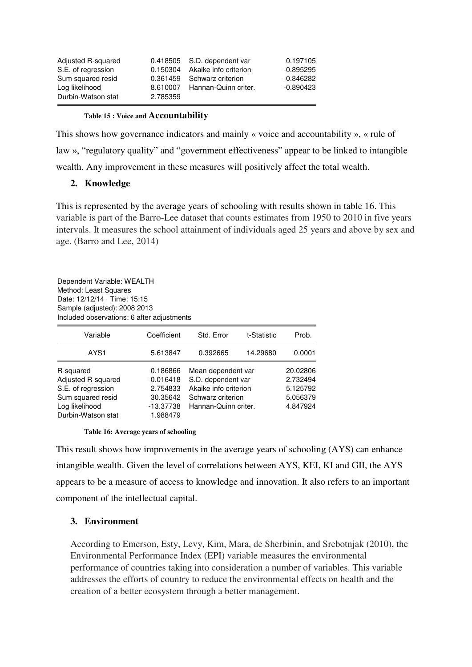| Adjusted R-squared |          | 0.418505 S.D. dependent var    | 0.197105    |
|--------------------|----------|--------------------------------|-------------|
| S.E. of regression |          | 0.150304 Akaike info criterion | $-0.895295$ |
| Sum squared resid  |          | 0.361459 Schwarz criterion     | $-0.846282$ |
| Log likelihood     |          | 8.610007 Hannan-Quinn criter.  | $-0.890423$ |
| Durbin-Watson stat | 2.785359 |                                |             |

#### **Table 15 : Voice and Accountability**

This shows how governance indicators and mainly « voice and accountability », « rule of law », "regulatory quality" and "government effectiveness" appear to be linked to intangible wealth. Any improvement in these measures will positively affect the total wealth.

### **2. Knowledge**

This is represented by the average years of schooling with results shown in table 16. This variable is part of the Barro-Lee dataset that counts estimates from 1950 to 2010 in five years intervals. It measures the school attainment of individuals aged 25 years and above by sex and age. (Barro and Lee, 2014)

Dependent Variable: WEALTH Method: Least Squares Date: 12/12/14 Time: 15:15 Sample (adjusted): 2008 2013 Included observations: 6 after adjustments

| Variable           | Coefficient | Std. Error            | t-Statistic | Prob.    |
|--------------------|-------------|-----------------------|-------------|----------|
| AYS1               | 5.613847    | 0.392665              | 14.29680    | 0.0001   |
| R-squared          | 0.186866    | Mean dependent var    |             | 20.02806 |
| Adjusted R-squared | $-0.016418$ | S.D. dependent var    |             | 2.732494 |
| S.E. of regression | 2.754833    | Akaike info criterion |             | 5.125792 |
| Sum squared resid  | 30.35642    | Schwarz criterion     |             | 5.056379 |
| Log likelihood     | $-13.37738$ | Hannan-Quinn criter.  |             | 4.847924 |
| Durbin-Watson stat | 1.988479    |                       |             |          |

#### **Table 16: Average years of schooling**

This result shows how improvements in the average years of schooling (AYS) can enhance intangible wealth. Given the level of correlations between AYS, KEI, KI and GII, the AYS appears to be a measure of access to knowledge and innovation. It also refers to an important component of the intellectual capital.

## **3. Environment**

According to Emerson, Esty, Levy, Kim, Mara, de Sherbinin, and Srebotnjak (2010), the Environmental Performance Index (EPI) variable measures the environmental performance of countries taking into consideration a number of variables. This variable addresses the efforts of country to reduce the environmental effects on health and the creation of a better ecosystem through a better management.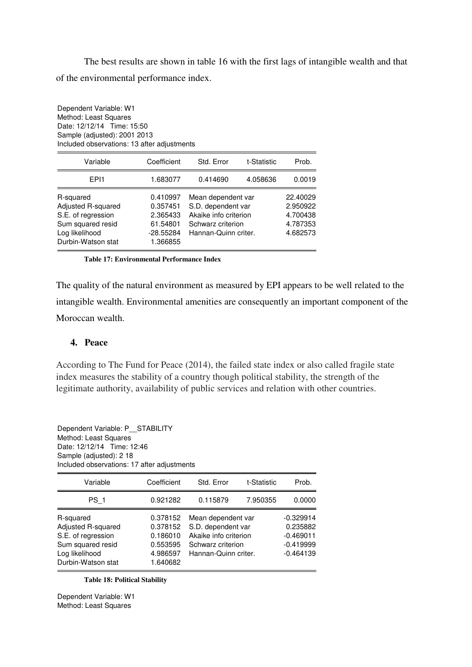The best results are shown in table 16 with the first lags of intangible wealth and that of the environmental performance index.

Dependent Variable: W1 Method: Least Squares Date: 12/12/14 Time: 15:50 Sample (adjusted): 2001 2013 Included observations: 13 after adjustments

| Variable                                                                                                           | Coefficient                                                             | Std. Error                                                                                                     | t-Statistic | Prob.                                                    |
|--------------------------------------------------------------------------------------------------------------------|-------------------------------------------------------------------------|----------------------------------------------------------------------------------------------------------------|-------------|----------------------------------------------------------|
| FP <sub>11</sub>                                                                                                   | 1.683077                                                                | 0.414690                                                                                                       | 4.058636    | 0.0019                                                   |
| R-squared<br>Adjusted R-squared<br>S.E. of regression<br>Sum squared resid<br>Log likelihood<br>Durbin-Watson stat | 0.410997<br>0.357451<br>2.365433<br>61.54801<br>$-28.55284$<br>1.366855 | Mean dependent var<br>S.D. dependent var<br>Akaike info criterion<br>Schwarz criterion<br>Hannan-Quinn criter. |             | 22.40029<br>2.950922<br>4.700438<br>4.787353<br>4.682573 |

#### **Table 17: Environmental Performance Index**

The quality of the natural environment as measured by EPI appears to be well related to the intangible wealth. Environmental amenities are consequently an important component of the Moroccan wealth.

# **4. Peace**

According to The Fund for Peace (2014), the failed state index or also called fragile state index measures the stability of a country though political stability, the strength of the legitimate authority, availability of public services and relation with other countries.

| Method: Least Squares<br>Date: 12/12/14 Time: 12:46<br>Sample (adjusted): 2 18<br>Included observations: 17 after adjustments |                                                                      |                                                                                                                |             |                                                                      |
|-------------------------------------------------------------------------------------------------------------------------------|----------------------------------------------------------------------|----------------------------------------------------------------------------------------------------------------|-------------|----------------------------------------------------------------------|
| Variable                                                                                                                      | Coefficient                                                          | Std. Error                                                                                                     | t-Statistic | Prob.                                                                |
| PS 1                                                                                                                          | 0.921282                                                             | 0.115879                                                                                                       | 7.950355    | 0.0000                                                               |
| R-squared<br>Adjusted R-squared<br>S.E. of regression<br>Sum squared resid<br>Log likelihood<br>Durbin-Watson stat            | 0.378152<br>0.378152<br>0.186010<br>0.553595<br>4.986597<br>1.640682 | Mean dependent var<br>S.D. dependent var<br>Akaike info criterion<br>Schwarz criterion<br>Hannan-Quinn criter. |             | $-0.329914$<br>0.235882<br>$-0.469011$<br>$-0.419999$<br>$-0.464139$ |

**Table 18: Political Stability** 

Dependent Variable: P\_\_STABILITY

Dependent Variable: W1 Method: Least Squares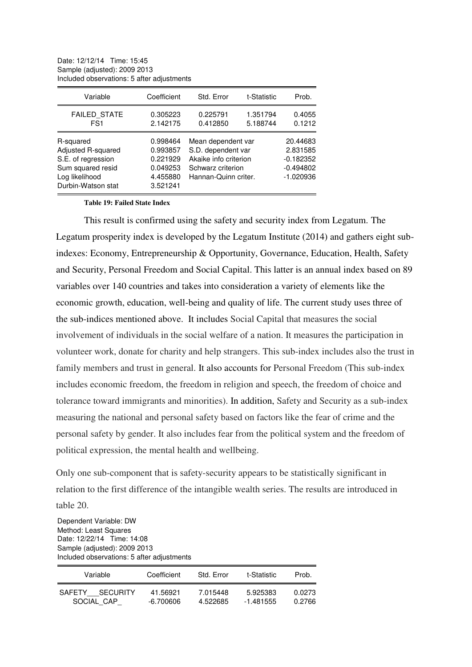| Date: 12/12/14 Time: 15:45   |                                            |
|------------------------------|--------------------------------------------|
| Sample (adjusted): 2009 2013 |                                            |
|                              | Included observations: 5 after adjustments |

| Variable                                                                                                           | Coefficient                                                          | Std. Error                                                                                                     | t-Statistic          | Prob.                                                             |
|--------------------------------------------------------------------------------------------------------------------|----------------------------------------------------------------------|----------------------------------------------------------------------------------------------------------------|----------------------|-------------------------------------------------------------------|
| <b>FAILED STATE</b><br>FS <sub>1</sub>                                                                             | 0.305223<br>2.142175                                                 | 0.225791<br>0.412850                                                                                           | 1.351794<br>5.188744 | 0.4055<br>0.1212                                                  |
| R-squared<br>Adjusted R-squared<br>S.E. of regression<br>Sum squared resid<br>Log likelihood<br>Durbin-Watson stat | 0.998464<br>0.993857<br>0.221929<br>0.049253<br>4.455880<br>3.521241 | Mean dependent var<br>S.D. dependent var<br>Akaike info criterion<br>Schwarz criterion<br>Hannan-Quinn criter. |                      | 20.44683<br>2.831585<br>$-0.182352$<br>$-0.494802$<br>$-1.020936$ |

**Table 19: Failed State Index** 

This result is confirmed using the safety and security index from Legatum. The Legatum prosperity index is developed by the Legatum Institute (2014) and gathers eight subindexes: Economy, Entrepreneurship & Opportunity, Governance, Education, Health, Safety and Security, Personal Freedom and Social Capital. This latter is an annual index based on 89 variables over 140 countries and takes into consideration a variety of elements like the economic growth, education, well-being and quality of life. The current study uses three of the sub-indices mentioned above. It includes Social Capital that measures the social involvement of individuals in the social welfare of a nation. It measures the participation in volunteer work, donate for charity and help strangers. This sub-index includes also the trust in family members and trust in general. It also accounts for Personal Freedom (This sub-index includes economic freedom, the freedom in religion and speech, the freedom of choice and tolerance toward immigrants and minorities). In addition, Safety and Security as a sub-index measuring the national and personal safety based on factors like the fear of crime and the personal safety by gender. It also includes fear from the political system and the freedom of political expression, the mental health and wellbeing.

Only one sub-component that is safety-security appears to be statistically significant in relation to the first difference of the intangible wealth series. The results are introduced in table 20.

Dependent Variable: DW Method: Least Squares Date: 12/22/14 Time: 14:08 Sample (adjusted): 2009 2013 Included observations: 5 after adjustments

| Variable        | Coefficient | Std. Frror | t-Statistic | Prob.  |
|-----------------|-------------|------------|-------------|--------|
| SAFETY SECURITY | 41.56921    | 7.015448   | 5.925383    | 0.0273 |
| SOCIAL CAP      | $-6.700606$ | 4.522685   | $-1.481555$ | 0.2766 |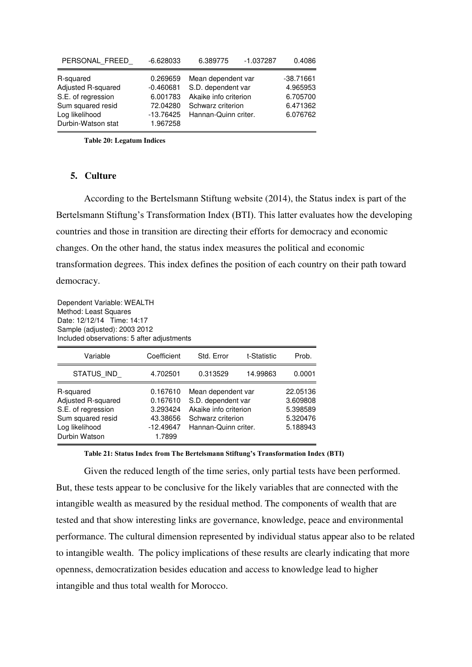| PERSONAL FREED                                                                               | $-6.628033$                                                    | 6.389775                                                                                                       | $-1.037287$ | 0.4086                                                      |
|----------------------------------------------------------------------------------------------|----------------------------------------------------------------|----------------------------------------------------------------------------------------------------------------|-------------|-------------------------------------------------------------|
| R-squared<br>Adjusted R-squared<br>S.E. of regression<br>Sum squared resid<br>Log likelihood | 0.269659<br>$-0.460681$<br>6.001783<br>72.04280<br>$-13.76425$ | Mean dependent var<br>S.D. dependent var<br>Akaike info criterion<br>Schwarz criterion<br>Hannan-Quinn criter. |             | $-38.71661$<br>4.965953<br>6.705700<br>6.471362<br>6.076762 |
| Durbin-Watson stat                                                                           | 1.967258                                                       |                                                                                                                |             |                                                             |

**Table 20: Legatum Indices** 

### **5. Culture**

According to the Bertelsmann Stiftung website (2014), the Status index is part of the Bertelsmann Stiftung's Transformation Index (BTI). This latter evaluates how the developing countries and those in transition are directing their efforts for democracy and economic changes. On the other hand, the status index measures the political and economic transformation degrees. This index defines the position of each country on their path toward democracy.

Dependent Variable: WEALTH Method: Least Squares Date: 12/12/14 Time: 14:17 Sample (adjusted): 2003 2012 Included observations: 5 after adjustments

| Variable                                                                                                      | Coefficient                                                           | Std. Error                                                                                                     | t-Statistic | Prob.                                                    |
|---------------------------------------------------------------------------------------------------------------|-----------------------------------------------------------------------|----------------------------------------------------------------------------------------------------------------|-------------|----------------------------------------------------------|
| STATUS IND                                                                                                    | 4.702501                                                              | 0.313529                                                                                                       | 14.99863    | 0.0001                                                   |
| R-squared<br>Adjusted R-squared<br>S.E. of regression<br>Sum squared resid<br>Log likelihood<br>Durbin Watson | 0.167610<br>0.167610<br>3.293424<br>43.38656<br>$-12.49647$<br>1.7899 | Mean dependent var<br>S.D. dependent var<br>Akaike info criterion<br>Schwarz criterion<br>Hannan-Quinn criter. |             | 22.05136<br>3.609808<br>5.398589<br>5.320476<br>5.188943 |

**Table 21: Status Index from The Bertelsmann Stiftung's Transformation Index (BTI)** 

Given the reduced length of the time series, only partial tests have been performed. But, these tests appear to be conclusive for the likely variables that are connected with the intangible wealth as measured by the residual method. The components of wealth that are tested and that show interesting links are governance, knowledge, peace and environmental performance. The cultural dimension represented by individual status appear also to be related to intangible wealth. The policy implications of these results are clearly indicating that more openness, democratization besides education and access to knowledge lead to higher intangible and thus total wealth for Morocco.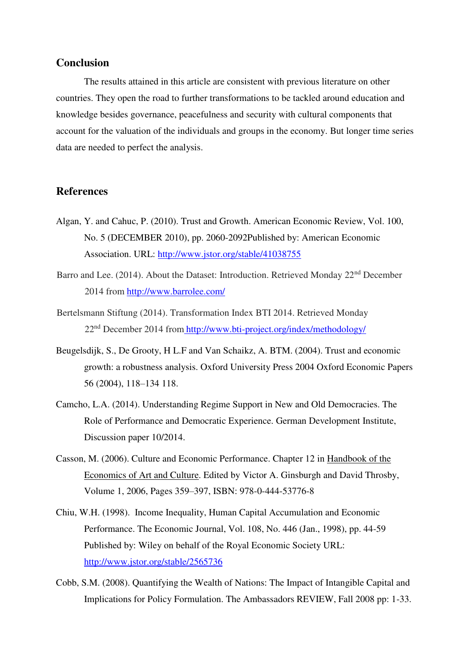# **Conclusion**

The results attained in this article are consistent with previous literature on other countries. They open the road to further transformations to be tackled around education and knowledge besides governance, peacefulness and security with cultural components that account for the valuation of the individuals and groups in the economy. But longer time series data are needed to perfect the analysis.

# **References**

- Algan, Y. and Cahuc, P. (2010). Trust and Growth. American Economic Review, Vol. 100, No. 5 (DECEMBER 2010), pp. 2060-2092Published by: American Economic Association. URL:<http://www.jstor.org/stable/41038755>
- Barro and Lee. (2014). About the Dataset: Introduction. Retrieved Monday 22<sup>nd</sup> December 2014 from<http://www.barrolee.com/>
- Bertelsmann Stiftung (2014). Transformation Index BTI 2014. Retrieved Monday 22nd December 2014 from <http://www.bti-project.org/index/methodology/>
- Beugelsdijk, S., De Grooty, H L.F and Van Schaikz, A. BTM. (2004). Trust and economic growth: a robustness analysis. Oxford University Press 2004 Oxford Economic Papers 56 (2004), 118–134 118.
- Camcho, L.A. (2014). Understanding Regime Support in New and Old Democracies. The Role of Performance and Democratic Experience. German Development Institute, Discussion paper 10/2014.
- [Casson,](http://www.sciencedirect.com/science/article/pii/S157406760601012X) M. (2006). Culture and Economic Performance. Chapter 12 in [Handbook of the](http://www.sciencedirect.com/science/handbooks/15740676)  [Economics of Art and Culture.](http://www.sciencedirect.com/science/handbooks/15740676) Edited by Victor A. Ginsburgh and David Throsby, [Volume 1,](http://www.sciencedirect.com/science/handbooks/15740676/1/supp/C) 2006, Pages 359–397, ISBN: 978-0-444-53776-8
- Chiu, W.H. (1998). Income Inequality, Human Capital Accumulation and Economic Performance. The Economic Journal, Vol. 108, No. 446 (Jan., 1998), pp. 44-59 Published by: Wiley on behalf of the Royal Economic Society URL: <http://www.jstor.org/stable/2565736>
- Cobb, S.M. (2008). Quantifying the Wealth of Nations: The Impact of Intangible Capital and Implications for Policy Formulation. The Ambassadors REVIEW, Fall 2008 pp: 1-33.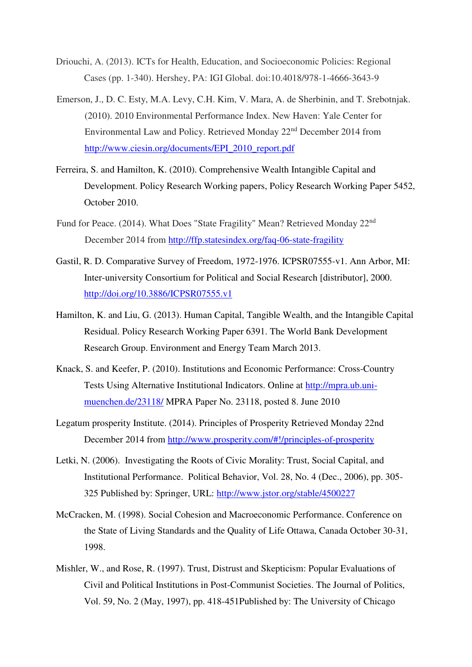- Driouchi, A. (2013). ICTs for Health, Education, and Socioeconomic Policies: Regional Cases (pp. 1-340). Hershey, PA: IGI Global. doi:10.4018/978-1-4666-3643-9
- Emerson, J., D. C. Esty, M.A. Levy, C.H. Kim, V. Mara, A. de Sherbinin, and T. Srebotnjak. (2010). 2010 Environmental Performance Index. New Haven: Yale Center for Environmental Law and Policy. Retrieved Monday 22nd December 2014 from [http://www.ciesin.org/documents/EPI\\_2010\\_report.pdf](http://www.ciesin.org/documents/EPI_2010_report.pdf)
- Ferreira, S. and Hamilton, K. (2010). Comprehensive Wealth Intangible Capital and Development. Policy Research Working papers, Policy Research Working Paper 5452, October 2010.
- Fund for Peace. (2014). What Does "State Fragility" Mean? Retrieved Monday 22<sup>nd</sup> December 2014 from<http://ffp.statesindex.org/faq-06-state-fragility>
- Gastil, R. D. Comparative Survey of Freedom, 1972-1976. ICPSR07555-v1. Ann Arbor, MI: Inter-university Consortium for Political and Social Research [distributor], 2000. <http://doi.org/10.3886/ICPSR07555.v1>
- Hamilton, K. and Liu, G. (2013). Human Capital, Tangible Wealth, and the Intangible Capital Residual. Policy Research Working Paper 6391. The World Bank Development Research Group. Environment and Energy Team March 2013.
- Knack, S. and Keefer, P. (2010). Institutions and Economic Performance: Cross-Country Tests Using Alternative Institutional Indicators. Online at http://mpra.ub.unimuenchen.de/23118/ MPRA Paper No. 23118, posted 8. June 2010
- Legatum prosperity Institute. (2014). Principles of Prosperity Retrieved Monday 22nd December 2014 from<http://www.prosperity.com/#!/principles-of-prosperity>
- Letki, N. (2006). Investigating the Roots of Civic Morality: Trust, Social Capital, and Institutional Performance. Political Behavior, Vol. 28, No. 4 (Dec., 2006), pp. 305- 325 Published by: Springer, URL:<http://www.jstor.org/stable/4500227>
- McCracken, M. (1998). Social Cohesion and Macroeconomic Performance. Conference on the State of Living Standards and the Quality of Life Ottawa, Canada October 30-31, 1998.
- Mishler, W., and Rose, R. (1997). Trust, Distrust and Skepticism: Popular Evaluations of Civil and Political Institutions in Post-Communist Societies. The Journal of Politics, Vol. 59, No. 2 (May, 1997), pp. 418-451Published by: The University of Chicago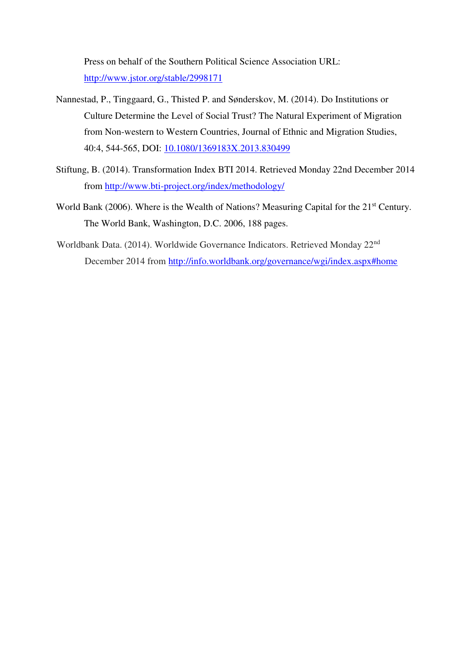Press on behalf of the Southern Political Science Association URL: <http://www.jstor.org/stable/2998171>

- Nannestad, P., Tinggaard, G., Thisted P. and Sønderskov, M. (2014). Do Institutions or Culture Determine the Level of Social Trust? The Natural Experiment of Migration from Non-western to Western Countries, Journal of Ethnic and Migration Studies, 40:4, 544-565, DOI: 10.1080/1369183X.2013.830499
- Stiftung, B. (2014). Transformation Index BTI 2014. Retrieved Monday 22nd December 2014 from<http://www.bti-project.org/index/methodology/>
- World Bank (2006). Where is the Wealth of Nations? Measuring Capital for the 21<sup>st</sup> Century. The World Bank, Washington, D.C. 2006, 188 pages.
- Worldbank Data. (2014). Worldwide Governance Indicators. Retrieved Monday 22nd December 2014 from<http://info.worldbank.org/governance/wgi/index.aspx#home>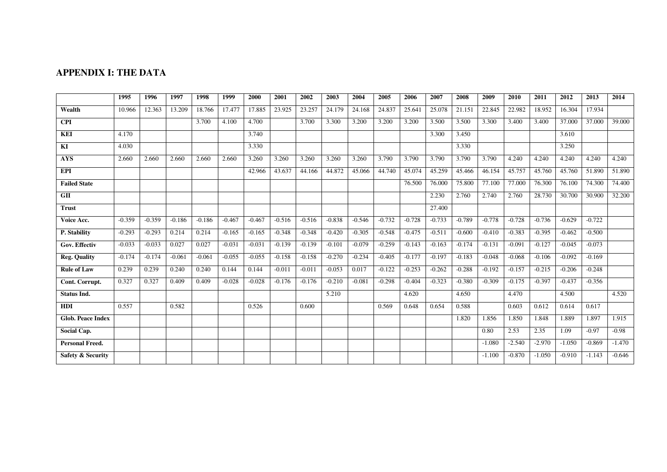# **APPENDIX I: THE DATA**

|                              | 1995     | 1996     | 1997     | 1998     | 1999     | 2000     | 2001     | 2002     | 2003     | 2004     | 2005     | 2006     | 2007     | 2008     | 2009     | 2010     | 2011     | 2012     | 2013     | 2014     |
|------------------------------|----------|----------|----------|----------|----------|----------|----------|----------|----------|----------|----------|----------|----------|----------|----------|----------|----------|----------|----------|----------|
| Wealth                       | 10.966   | 12.363   | 13.209   | 18.766   | 17.477   | 17.885   | 23.925   | 23.257   | 24.179   | 24.168   | 24.837   | 25.641   | 25.078   | 21.151   | 22.845   | 22.982   | 18.952   | 16.304   | 17.934   |          |
| <b>CPI</b>                   |          |          |          | 3.700    | 4.100    | 4.700    |          | 3.700    | 3.300    | 3.200    | 3.200    | 3.200    | 3.500    | 3.500    | 3.300    | 3.400    | 3.400    | 37.000   | 37.000   | 39,000   |
| <b>KEI</b>                   | 4.170    |          |          |          |          | 3.740    |          |          |          |          |          |          | 3.300    | 3.450    |          |          |          | 3.610    |          |          |
| KI                           | 4.030    |          |          |          |          | 3.330    |          |          |          |          |          |          |          | 3.330    |          |          |          | 3.250    |          |          |
| <b>AYS</b>                   | 2.660    | 2.660    | 2.660    | 2.660    | 2.660    | 3.260    | 3.260    | 3.260    | 3.260    | 3.260    | 3.790    | 3.790    | 3.790    | 3.790    | 3.790    | 4.240    | 4.240    | 4.240    | 4.240    | 4.240    |
| <b>EPI</b>                   |          |          |          |          |          | 42.966   | 43.637   | 44.166   | 44.872   | 45.066   | 44.740   | 45.074   | 45.259   | 45.466   | 46.154   | 45.757   | 45.760   | 45.760   | 51.890   | 51.890   |
| <b>Failed State</b>          |          |          |          |          |          |          |          |          |          |          |          | 76.500   | 76.000   | 75.800   | 77.100   | 77.000   | 76.300   | 76.100   | 74.300   | 74.400   |
| GII                          |          |          |          |          |          |          |          |          |          |          |          |          | 2.230    | 2.760    | 2.740    | 2.760    | 28.730   | 30.700   | 30.900   | 32.200   |
| <b>Trust</b>                 |          |          |          |          |          |          |          |          |          |          |          |          | 27.400   |          |          |          |          |          |          |          |
| Voice Acc.                   | $-0.359$ | $-0.359$ | $-0.186$ | $-0.186$ | $-0.467$ | $-0.467$ | $-0.516$ | $-0.516$ | $-0.838$ | $-0.546$ | $-0.732$ | $-0.728$ | $-0.733$ | $-0.789$ | $-0.778$ | $-0.728$ | $-0.736$ | $-0.629$ | $-0.722$ |          |
| P. Stability                 | $-0.293$ | $-0.293$ | 0.214    | 0.214    | $-0.165$ | $-0.165$ | $-0.348$ | $-0.348$ | $-0.420$ | $-0.305$ | $-0.548$ | $-0.475$ | $-0.511$ | $-0.600$ | $-0.410$ | $-0.383$ | $-0.395$ | $-0.462$ | $-0.500$ |          |
| Gov. Effectiv                | $-0.033$ | $-0.033$ | 0.027    | 0.027    | $-0.031$ | $-0.031$ | $-0.139$ | $-0.139$ | $-0.101$ | $-0.079$ | $-0.259$ | $-0.143$ | $-0.163$ | $-0.174$ | $-0.131$ | $-0.091$ | $-0.127$ | $-0.045$ | $-0.073$ |          |
| <b>Reg. Quality</b>          | $-0.174$ | $-0.174$ | $-0.061$ | $-0.061$ | $-0.055$ | $-0.055$ | $-0.158$ | $-0.158$ | $-0.270$ | $-0.234$ | $-0.405$ | $-0.177$ | $-0.197$ | $-0.183$ | $-0.048$ | $-0.068$ | $-0.106$ | $-0.092$ | $-0.169$ |          |
| <b>Rule of Law</b>           | 0.239    | 0.239    | 0.240    | 0.240    | 0.144    | 0.144    | $-0.011$ | $-0.011$ | $-0.053$ | 0.017    | $-0.122$ | $-0.253$ | $-0.262$ | $-0.288$ | $-0.192$ | $-0.157$ | $-0.215$ | $-0.206$ | $-0.248$ |          |
| Cont. Corrupt.               | 0.327    | 0.327    | 0.409    | 0.409    | $-0.028$ | $-0.028$ | $-0.176$ | $-0.176$ | $-0.210$ | $-0.081$ | $-0.298$ | $-0.404$ | $-0.323$ | $-0.380$ | $-0.309$ | $-0.175$ | $-0.397$ | $-0.437$ | $-0.356$ |          |
| <b>Status Ind.</b>           |          |          |          |          |          |          |          |          | 5.210    |          |          | 4.620    |          | 4.650    |          | 4.470    |          | 4.500    |          | 4.520    |
| <b>HDI</b>                   | 0.557    |          | 0.582    |          |          | 0.526    |          | 0.600    |          |          | 0.569    | 0.648    | 0.654    | 0.588    |          | 0.603    | 0.612    | 0.614    | 0.617    |          |
| <b>Glob. Peace Index</b>     |          |          |          |          |          |          |          |          |          |          |          |          |          | 1.820    | 1.856    | 1.850    | 1.848    | 1.889    | 1.897    | 1.915    |
| Social Cap.                  |          |          |          |          |          |          |          |          |          |          |          |          |          |          | 0.80     | 2.53     | 2.35     | 1.09     | $-0.97$  | $-0.98$  |
| <b>Personal Freed.</b>       |          |          |          |          |          |          |          |          |          |          |          |          |          |          | $-1.080$ | $-2.540$ | $-2.970$ | $-1.050$ | $-0.869$ | $-1.470$ |
| <b>Safety &amp; Security</b> |          |          |          |          |          |          |          |          |          |          |          |          |          |          | $-1.100$ | $-0.870$ | $-1.050$ | $-0.910$ | $-1.143$ | $-0.646$ |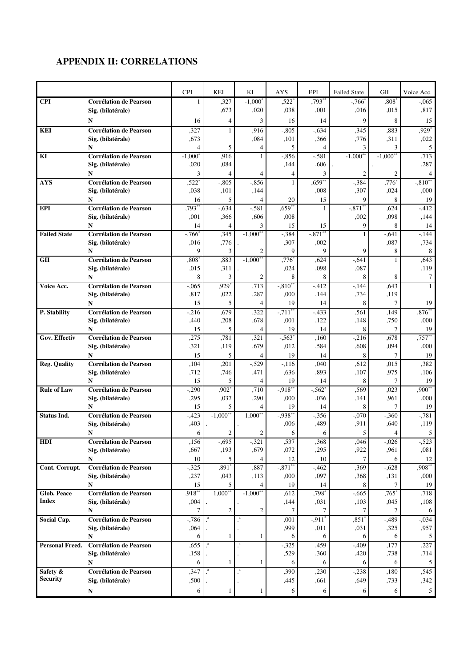# **APPENDIX II: CORRELATIONS**

|                     |                                    | <b>CPI</b>          | KEI                      | KI                     | <b>AYS</b>           | EPI                   | <b>Failed State</b> | GII                    | Voice Acc.      |
|---------------------|------------------------------------|---------------------|--------------------------|------------------------|----------------------|-----------------------|---------------------|------------------------|-----------------|
| <b>CPI</b>          | <b>Corrélation de Pearson</b>      | 1                   | ,327                     | $-1,000^*$             | .522                 | $.793**$              | $-766$ <sup>*</sup> | $.808^\circ$           | $-.065$         |
|                     | Sig. (bilatérale)                  |                     | ,673                     | ,020                   | ,038                 | ,001                  | ,016                | ,015                   | ,817            |
|                     | N                                  | 16                  | 4                        | 3                      | 16                   | 14                    | 9                   | 8                      | 15              |
| <b>KEI</b>          | <b>Corrélation de Pearson</b>      | ,327                | $\mathbf{1}$             | .916                   | $-.805$              | $-.634$               | ,345                | .883                   | $.929*$         |
|                     | Sig. (bilatérale)                  | .673                |                          | .084                   | ,101                 | ,366                  | ,776                | ,311                   | ,022            |
|                     | N                                  | $\overline{4}$      | 5                        | 4                      | 5                    | 4                     | 3                   | 3                      | 5               |
| KI                  | <b>Corrélation de Pearson</b>      | $-1,000^*$          | ,916                     | 1                      | $-.856$              | $-.581$               | $-1,000**$          | $-1,000$ <sup>**</sup> | .713            |
|                     | Sig. (bilatérale)                  | ,020                | ,084                     |                        | ,144                 | ,606                  |                     |                        | ,287            |
|                     | N                                  | 3                   | 4                        | $\overline{4}$         | 4                    | 3                     | $\overline{2}$      | $\mathfrak{2}$         | $\overline{4}$  |
| <b>AYS</b>          | <b>Corrélation de Pearson</b>      | ,522                | $-.805$                  | $-.856$                | $\mathbf{1}$         | $,659**$              | $-384$              | .776                   | $-0.810**$      |
|                     | Sig. (bilatérale)                  | ,038                | ,101                     | ,144                   |                      | ,008                  | ,307                | ,024                   | ,000            |
|                     | N                                  | 16                  | 5                        | 4                      | 20                   | 15                    | 9                   | 8                      | 19              |
| <b>EPI</b>          | <b>Corrélation de Pearson</b>      | .793*               | $-.634$                  | $-581$                 | $0.659*$             | $\mathbf{1}$          | $-.871$ *           | ,624                   | $-412$          |
|                     | Sig. (bilatérale)                  | ,001                | ,366                     | .606                   | ,008                 |                       | ,002                | .098                   | ,144            |
|                     | N                                  | 14                  | $\overline{4}$           | 3                      | 15                   | 15                    | 9                   | 8                      | 14              |
| <b>Failed State</b> | <b>Corrélation de Pearson</b>      | $-766$ <sup>*</sup> | ,345                     | $-1,000$ <sup>**</sup> | $-384$               | $-.871$ **            | 1                   | $-0.641$               | $-144$          |
|                     | Sig. (bilatérale)                  | ,016                | ,776                     |                        | ,307                 | ,002                  |                     | ,087                   | ,734            |
|                     | N                                  | 9                   | 3                        | 2                      | 9                    | $\mathbf Q$           | 9                   | 8                      | 8               |
| <b>GII</b>          | Corrélation de Pearson             | $0.808*$            | ,883                     | $-1,000**$             | $,776^*$             | ,624<br>,098          | $-.641$             | $\mathbf{1}$           | .643            |
|                     | Sig. (bilatérale)<br>N             | ,015<br>8           | ,311<br>3                | $\mathfrak{2}$         | ,024<br>8            | 8                     | ,087<br>8           | 8                      | ,119<br>7       |
| Voice Acc.          | <b>Corrélation de Pearson</b>      | $-.065$             | ,929*                    | .713                   | $-310^{**}$          | $-412$                | $-144$              | ,643                   | $\mathbf{1}$    |
|                     | Sig. (bilatérale)                  | ,817                | ,022                     | ,287                   | ,000                 | ,144                  | ,734                | ,119                   |                 |
|                     | N                                  | 15                  | 5                        | $\overline{4}$         | 19                   | 14                    | 8                   | 7                      | 19              |
| P. Stability        | <b>Corrélation de Pearson</b>      | $-.216$             | ,679                     | ,322                   | $-711$ <sup>**</sup> | $-.433$               | ,561                | ,149                   | $.876**$        |
|                     | Sig. (bilatérale)                  | ,440                | ,208                     | .678                   | ,001                 | ,122                  | ,148                | ,750                   | ,000            |
|                     | N                                  | 15                  | 5                        | $\overline{4}$         | 19                   | 14                    | 8                   | 7                      | 19              |
| Gov. Effectiv       | <b>Corrélation de Pearson</b>      | ,275                | ,781                     | ,321                   | $-.563*$             | ,160                  | $-.216$             | .678                   | $.757**$        |
|                     | Sig. (bilatérale)                  | ,321                | ,119                     | ,679                   | ,012                 | ,584                  | ,608                | ,094                   | ,000            |
|                     | N                                  | 15                  | 5                        | $\overline{4}$         | 19                   | 14                    | 8                   | 7                      | 19              |
| <b>Reg. Quality</b> | <b>Corrélation de Pearson</b>      | ,104                | ,201                     | $-529$                 | $-.116$              | ,040                  | ,612                | ,015                   | .382            |
|                     | Sig. (bilatérale)                  | ,712                | .746                     | ,471                   | ,636                 | ,893                  | ,107                | ,975                   | ,106            |
|                     | N                                  | 15                  | 5                        | 4                      | 19                   | 14                    | 8                   | 7                      | 19              |
| <b>Rule of Law</b>  | <b>Corrélation de Pearson</b>      | $-.290$             | $.902*$                  | ,710                   | $-0.918$ **          | $-.562*$              | .569                | ,023                   | $.900**$        |
|                     | Sig. (bilatérale)                  | ,295                | ,037                     | ,290                   | ,000                 | ,036                  | ,141                | ,961                   | ,000            |
|                     | N                                  | 15                  | 5                        | 4                      | 19                   | 14                    | 8                   | 7                      | 19              |
| <b>Status Ind.</b>  | <b>Corrélation de Pearson</b>      | $-0.423$            | $-1,000**$               | $1,000***$             | $-0.938$ **          | $-356$                | $-.070$             | $-.360$                | $-0.781$        |
|                     | Sig. (bilatérale)                  | ,403                |                          |                        | ,006                 | ,489                  | ,911                | .640                   | ,119            |
|                     | N                                  | 6                   | $\mathfrak{2}$           | $\mathfrak{2}$         | 6                    | 6                     | 5                   | 4                      | 5               |
| HDI                 | <b>Corrélation de Pearson</b>      | ,156                | $-0.695$                 | $-321$                 | ,537                 | ,368                  | ,046                | $-.026$                | $-523$          |
|                     | Sig. (bilatérale)                  | ,667                | ,193                     | ,679                   | ,072                 | ,295                  | ,922                | ,961                   | ,081            |
|                     | N<br><b>Corrélation de Pearson</b> | 10                  | 5<br>$,891$ <sup>*</sup> | $\overline{4}$         | 12<br>$-.871$ **     | 10                    | $\overline{7}$      | 6                      | 12<br>$,908***$ |
| Cont. Corrupt.      | Sig. (bilatérale)                  | $-325$<br>,237      | ,043                     | ,887<br>,113           | ,000                 | $-0.462$<br>,097      | ,369<br>,368        | $-0.628$<br>,131       | ,000            |
|                     | N                                  | 15                  | 5                        | 4                      | 19                   | 14                    | 8                   | 7                      | 19              |
| Glob. Peace         | <b>Corrélation de Pearson</b>      | $,918$ **           | $1,000**$                | $-1,000**$             | ,612                 | ,798*                 | $-0.665$            | $,765$ <sup>*</sup>    | ,718            |
| <b>Index</b>        | Sig. (bilatérale)                  | ,004                |                          |                        | ,144                 | ,031                  | ,103                | ,045                   | ,108            |
|                     | N                                  | 7                   | $\sqrt{2}$               | $\mathfrak{2}$         | 7                    | 7                     | $\tau$              | 7                      | 6               |
| <b>Social Cap.</b>  | <b>Corrélation de Pearson</b>      | $-786$              | $\cdot^a$                | $\cdot^a$              | ,001                 | $-0.911$ <sup>*</sup> | $,851*$             | $-489$                 | $-0.034$        |
|                     | Sig. (bilatérale)                  | ,064                |                          |                        | ,999                 | ,011                  | ,031                | ,325                   | ,957            |
|                     | N                                  | 6                   | $\mathbf{1}$             | 1                      | 6                    | 6                     | 6                   | 6                      | 5               |
| Personal Freed.     | <b>Corrélation de Pearson</b>      | ,655                | $^{\rm a}$               | $\mathbf{a}$           | $-325$               | ,459                  | $-0.409$            | ,177                   | ,227            |
|                     | Sig. (bilatérale)                  | ,158                |                          |                        | ,529                 | ,360                  | ,420                | ,738                   | ,714            |
|                     | N                                  | 6                   | $\mathbf{1}$             | $\mathbf{1}$           | 6                    | 6                     | 6                   | 6                      | 5               |
| Safety &            | <b>Corrélation de Pearson</b>      | , 347               | $\cdot^a$                | $\mathbf{a}$           | ,390                 | ,230                  | $-238$              | ,180                   | ,545            |
| <b>Security</b>     | Sig. (bilatérale)                  | ,500                |                          |                        | ,445                 | ,661                  | ,649                | ,733                   | ,342            |
|                     | N                                  | 6                   | 1                        | 1                      | 6                    | 6                     | 6                   | 6                      | $5\overline{)}$ |
|                     |                                    |                     |                          |                        |                      |                       |                     |                        |                 |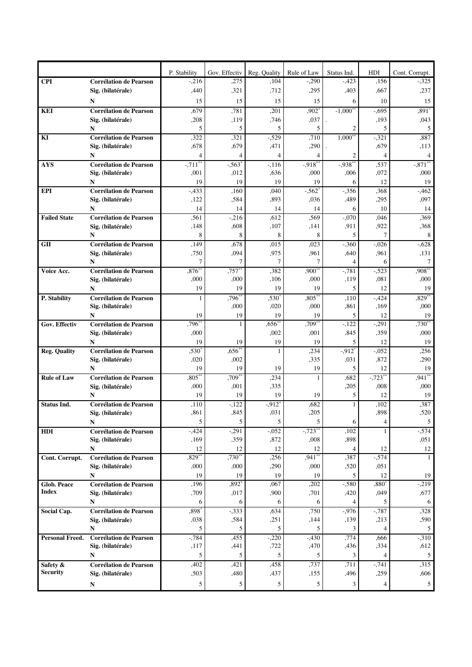|                                    |                                                    | P. Stability         | Gov. Effectiv  | Reg. Quality     | Rule of Law          | Status Ind.                | HDI                 | Cont. Corrupt.       |
|------------------------------------|----------------------------------------------------|----------------------|----------------|------------------|----------------------|----------------------------|---------------------|----------------------|
| <b>CPI</b>                         | <b>Corrélation de Pearson</b>                      | $-.216$              | ,275           | ,104             | $-.290$              | $-.423$                    | ,156                | $-325$               |
|                                    | Sig. (bilatérale)                                  | ,440                 | ,321           | ,712             | ,295                 | ,403                       | ,667                | ,237                 |
|                                    | N                                                  | 15                   | 15             | 15               | 15                   | 6                          | 10                  | 15                   |
| <b>KEI</b>                         | <b>Corrélation de Pearson</b>                      | ,679                 | ,781           | ,201             | $,902*$              | $-1,000$ <sup>*</sup>      | $-0.695$            | $,891*$              |
|                                    | Sig. (bilatérale)                                  | ,208                 | ,119           | ,746             | ,037                 |                            | ,193                | ,043                 |
|                                    | N                                                  | 5                    | 5              | 5                | 5                    | 2                          | 5                   | 5                    |
| KI                                 | <b>Corrélation de Pearson</b>                      | ,322                 | ,321           | $-529$           | ,710                 | $1,000$ **                 | $-321$              | ,887                 |
|                                    | Sig. (bilatérale)                                  | ,678                 | ,679           | ,471             | ,290                 |                            | ,679                | ,113                 |
|                                    | N                                                  | 4                    | 4              | 4                |                      | 2                          | $\overline{4}$      | 4                    |
| <b>AYS</b>                         | <b>Corrélation de Pearson</b>                      | $-.711$ <sup>*</sup> | $-.563"$       | $-116$           | $-0.918$             | $-0.938$ *                 | ,537                | $-.871*$             |
|                                    | Sig. (bilatérale)<br>N                             | ,001<br>19           | ,012<br>19     | ,636<br>19       | ,000<br>19           | ,006<br>6                  | ,072<br>12          | ,000<br>19           |
| <b>EPI</b>                         | <b>Corrélation de Pearson</b>                      | $-.433$              | ,160           | ,040             | $-.562$              | $-356$                     | ,368                | $-462$               |
|                                    | Sig. (bilatérale)                                  | ,122                 | ,584           | ,893             | ,036                 | ,489                       | ,295                | ,097                 |
|                                    | N                                                  | 14                   | 14             | 14               | 14                   | 6                          | 10                  | 14                   |
| <b>Failed State</b>                | <b>Corrélation de Pearson</b>                      | ,561                 | $-.216$        | ,612             | ,569                 | $-0.070$                   | ,046                | ,369                 |
|                                    | Sig. (bilatérale)                                  | ,148                 | ,608           | ,107             | ,141                 | ,911                       | ,922                | ,368                 |
|                                    | N                                                  | 8                    | 8              | 8                | 8                    | 5                          | 7                   | 8                    |
| <b>GII</b>                         | <b>Corrélation de Pearson</b>                      | ,149                 | ,678           | ,015             | ,023                 | $-360$                     | $-.026$             | $-0.628$             |
|                                    | Sig. (bilatérale)                                  | ,750                 | ,094           | ,975             | ,961                 | ,640                       | ,961                | ,131                 |
|                                    | N                                                  | 7                    | 7              | 7                | 7                    | 4                          | 6                   | 7                    |
| Voice Acc.                         | Corrélation de Pearson                             | $0.876^{**}$         | $.757**$       | ,382             | $,900^{**}$          | $-781$                     | $-523$              | $,908$ <sup>**</sup> |
|                                    | Sig. (bilatérale)                                  | ,000                 | ,000           | ,106             | ,000                 | ,119                       | ,081                | ,000                 |
|                                    | N                                                  | 19                   | 19             | 19               | 19                   | 5                          | 12                  | 19                   |
| P. Stability                       | <b>Corrélation de Pearson</b><br>Sig. (bilatérale) | 1                    | ,796*<br>,000  | $,530^*$<br>,020 | $0.805$ *<br>,000    | ,110<br>,861               | $-.424$<br>,169     | $,829**$<br>,000     |
|                                    | N                                                  | 19                   | 19             | 19               | 19                   | 5                          | 12                  | 19                   |
| <b>Gov. Effectiv</b>               | <b>Corrélation de Pearson</b>                      | ,796*                | 1              | $,656*$          | ,709                 | $-122$                     | $-291$              | $,730^{**}$          |
|                                    | Sig. (bilatérale)                                  | ,000                 |                | ,002             | ,001                 | ,845                       | ,359                | ,000                 |
|                                    | N                                                  | 19                   | 19             | 19               | 19                   | 5                          | 12                  | 19                   |
| <b>Reg. Quality</b>                | <b>Corrélation de Pearson</b>                      | .530*                | $,656$ *       | 1                | ,234                 | $-0.912$ <sup>*</sup>      | $-.052$             | ,256                 |
|                                    | Sig. (bilatérale)                                  | ,020                 | ,002           |                  | ,335                 | ,031                       | ,872                | ,290                 |
|                                    | N                                                  | 19                   | 19             | 19               | 19                   | 5                          | 12                  | 19                   |
| <b>Rule of Law</b>                 | <b>Corrélation de Pearson</b>                      | $,805*$              | ,709           | ,234             | 1                    | ,682                       | $-723$ <sup>*</sup> | $,941$ **            |
|                                    | Sig. (bilatérale)                                  | ,000                 | ,001           | ,335             |                      | ,205                       | ,008                | ,000                 |
|                                    | N                                                  | 19                   | 19             | 19               | 19                   | 5                          | 12                  | 19                   |
| <b>Status Ind.</b>                 | <b>Corrélation de Pearson</b><br>Sig. (bilatérale) | ,110<br>,861         | $-122$<br>,845 | $-0.912$<br>,031 | ,682<br>,205         |                            | ,102<br>,898        | ,387<br>,520         |
|                                    | N                                                  | 5                    | 5              | 5                | 5                    | 6                          | 4                   | 5                    |
| <b>HDI</b>                         | <b>Corrélation de Pearson</b>                      | $-0.424$             | $-291$         | $-0.052$         | $-723$ <sup>*</sup>  | ,102                       |                     | $-574$               |
|                                    | Sig. (bilatérale)                                  | ,169                 | ,359           | ,872             | ,008                 | ,898                       |                     | ,051                 |
|                                    | N                                                  | 12                   | 12             | 12               | 12                   | 4                          | 12                  | 12                   |
| Cont. Corrupt.                     | <b>Corrélation de Pearson</b>                      | $.829**$             | $,730^{**}$    | ,256             | $,941$ <sup>**</sup> | ,387                       | $-574$              | $\mathbf{1}$         |
|                                    | Sig. (bilatérale)                                  | ,000                 | ,000           | ,290             | ,000                 | ,520                       | ,051                |                      |
|                                    | N                                                  | 19                   | 19             | 19               | 19                   | 5                          | 12                  | 19                   |
| <b>Glob. Peace</b><br><b>Index</b> | <b>Corrélation de Pearson</b>                      | ,196                 | $.892*$        | ,067             | ,202                 | $-580$                     | $,880^*$            | $-219$               |
|                                    | Sig. (bilatérale)                                  | ,709                 | ,017           | ,900             | ,701                 | ,420                       | ,049                | ,677                 |
|                                    | N                                                  | 6<br>,898            | 6<br>$-333$    | 6<br>,634        | 6<br>,750            | $\overline{4}$<br>$-0.976$ | 5<br>$-0.787$       | 6<br>,328            |
| Social Cap.                        | <b>Corrélation de Pearson</b><br>Sig. (bilatérale) | ,038                 | ,584           | ,251             | ,144                 | ,139                       | ,213                | ,590                 |
|                                    | N                                                  | 5                    | 5              | 5                | 5                    | 3                          | $\overline{4}$      | 5                    |
| Personal Freed.                    | <b>Corrélation de Pearson</b>                      | $-784$               | ,455           | $-.220$          | $-.430$              | ,774                       | ,666                | $-310$               |
|                                    | Sig. (bilatérale)                                  | ,117                 | ,441           | ,722             | ,470                 | ,436                       | ,334                | ,612                 |
|                                    | N                                                  | 5                    | 5              | 5                | 5                    | 3                          | 4                   | 5                    |
| Safety &                           | <b>Corrélation de Pearson</b>                      | ,402                 | ,421           | ,458             | ,737                 | ,711                       | $-741$              | ,315                 |
| <b>Security</b>                    | Sig. (bilatérale)                                  | ,503                 | ,480           | ,437             | ,155                 | ,496                       | ,259                | ,606                 |
|                                    | N                                                  | 5                    | 5              | 5                | 5                    | 3                          | $\overline{4}$      | $5\phantom{.0}$      |